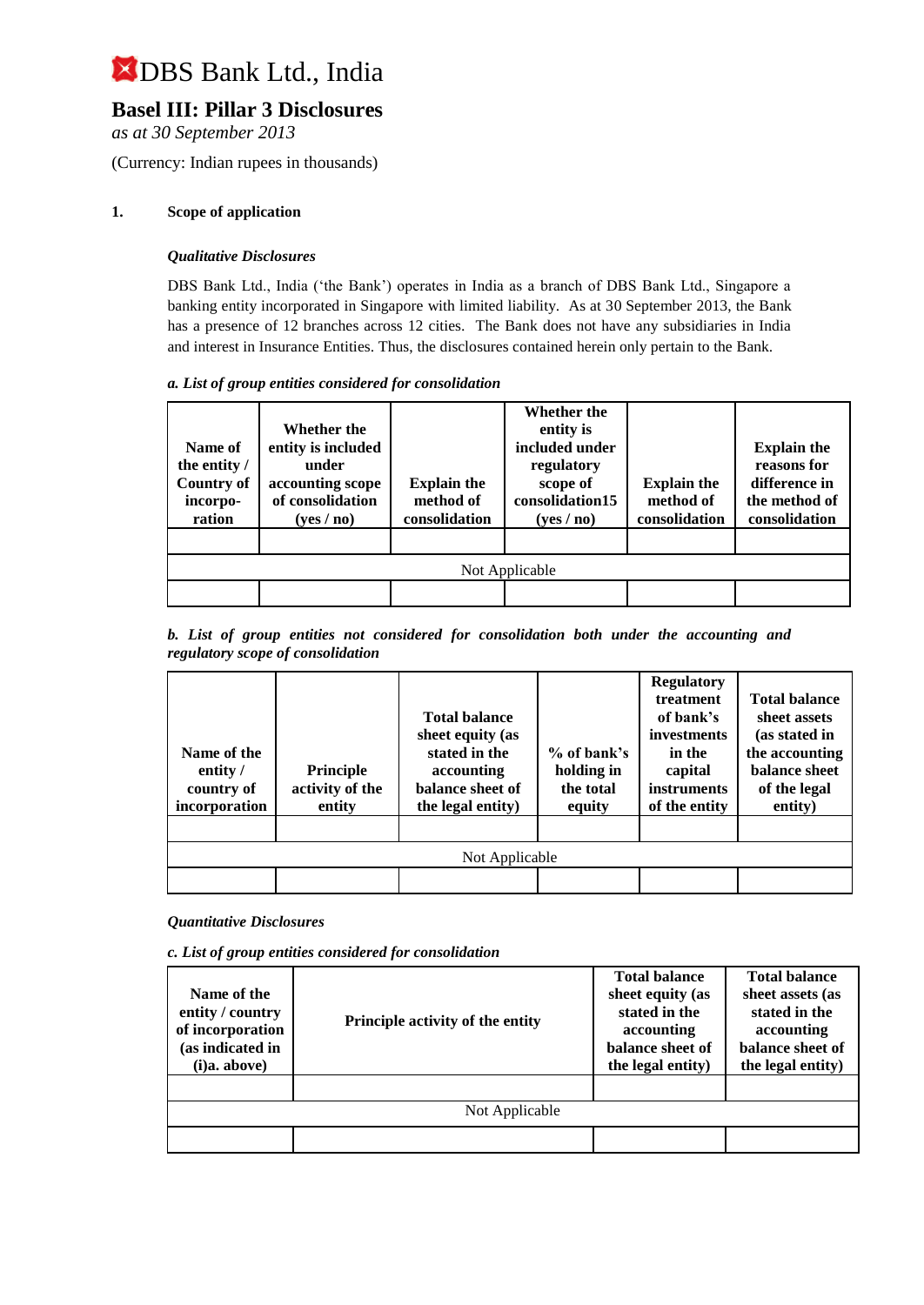### **Basel III: Pillar 3 Disclosures**

*as at 30 September 2013*

(Currency: Indian rupees in thousands)

#### **1. Scope of application**

#### *Qualitative Disclosures*

DBS Bank Ltd., India ('the Bank') operates in India as a branch of DBS Bank Ltd., Singapore a banking entity incorporated in Singapore with limited liability. As at 30 September 2013, the Bank has a presence of 12 branches across 12 cities. The Bank does not have any subsidiaries in India and interest in Insurance Entities. Thus, the disclosures contained herein only pertain to the Bank.

#### *a. List of group entities considered for consolidation*

| Name of<br>the entity /<br><b>Country of</b><br>incorpo-<br>ration | Whether the<br>entity is included<br>under<br>accounting scope<br>of consolidation<br>(yes/no) | <b>Explain the</b><br>method of<br>consolidation | Whether the<br>entity is<br>included under<br>regulatory<br>scope of<br>consolidation15<br>(yes/no) | <b>Explain the</b><br>method of<br>consolidation | <b>Explain the</b><br>reasons for<br>difference in<br>the method of<br>consolidation |
|--------------------------------------------------------------------|------------------------------------------------------------------------------------------------|--------------------------------------------------|-----------------------------------------------------------------------------------------------------|--------------------------------------------------|--------------------------------------------------------------------------------------|
|                                                                    |                                                                                                |                                                  |                                                                                                     |                                                  |                                                                                      |
|                                                                    |                                                                                                |                                                  | Not Applicable                                                                                      |                                                  |                                                                                      |
|                                                                    |                                                                                                |                                                  |                                                                                                     |                                                  |                                                                                      |

#### *b. List of group entities not considered for consolidation both under the accounting and regulatory scope of consolidation*

| Name of the<br>entity /<br>country of<br>incorporation | <b>Principle</b><br>activity of the<br>entity | <b>Total balance</b><br>sheet equity (as<br>stated in the<br>accounting<br>balance sheet of<br>the legal entity) | $%$ of bank's<br>holding in<br>the total<br>equity | <b>Regulatory</b><br>treatment<br>of bank's<br>investments<br>in the<br>capital<br><i>instruments</i><br>of the entity | <b>Total balance</b><br>sheet assets<br>(as stated in<br>the accounting<br>balance sheet<br>of the legal<br>entity) |
|--------------------------------------------------------|-----------------------------------------------|------------------------------------------------------------------------------------------------------------------|----------------------------------------------------|------------------------------------------------------------------------------------------------------------------------|---------------------------------------------------------------------------------------------------------------------|
|                                                        |                                               | Not Applicable                                                                                                   |                                                    |                                                                                                                        |                                                                                                                     |
|                                                        |                                               |                                                                                                                  |                                                    |                                                                                                                        |                                                                                                                     |

#### *Quantitative Disclosures*

*c. List of group entities considered for consolidation*

| Name of the<br>entity / country<br>of incorporation<br>(as indicated in<br>(i)a. above) | Principle activity of the entity | <b>Total balance</b><br>sheet equity (as<br>stated in the<br>accounting<br>balance sheet of<br>the legal entity) | <b>Total balance</b><br>sheet assets (as<br>stated in the<br>accounting<br>balance sheet of<br>the legal entity) |
|-----------------------------------------------------------------------------------------|----------------------------------|------------------------------------------------------------------------------------------------------------------|------------------------------------------------------------------------------------------------------------------|
|                                                                                         |                                  |                                                                                                                  |                                                                                                                  |
|                                                                                         | Not Applicable                   |                                                                                                                  |                                                                                                                  |
|                                                                                         |                                  |                                                                                                                  |                                                                                                                  |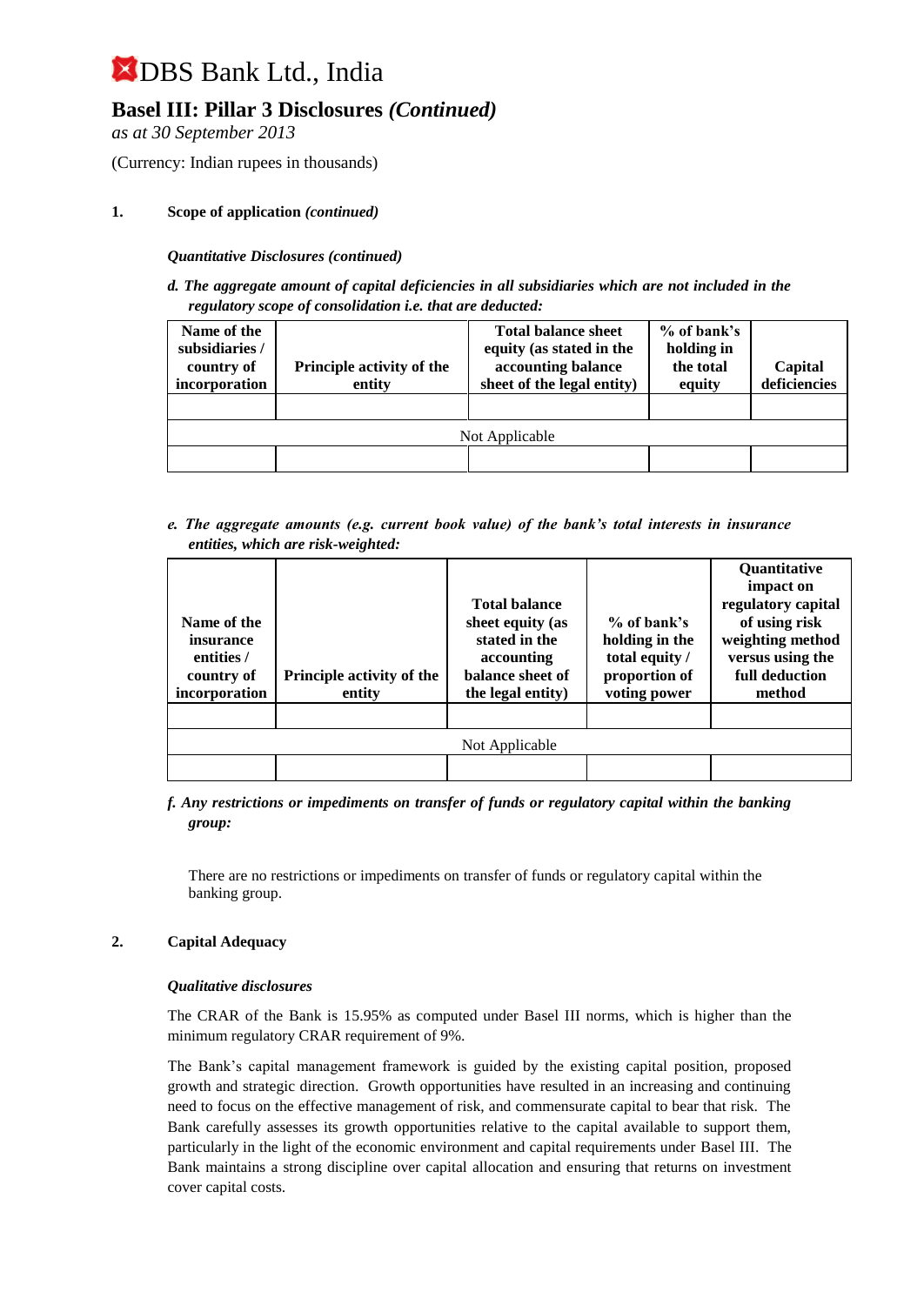### **Basel III: Pillar 3 Disclosures** *(Continued)*

*as at 30 September 2013*

(Currency: Indian rupees in thousands)

#### **1. Scope of application** *(continued)*

*Quantitative Disclosures (continued)*

*d. The aggregate amount of capital deficiencies in all subsidiaries which are not included in the regulatory scope of consolidation i.e. that are deducted:*

| Name of the<br>subsidiaries /<br>country of<br>incorporation | <b>Principle activity of the</b><br>entity | <b>Total balance sheet</b><br>equity (as stated in the<br>accounting balance<br>sheet of the legal entity) | $%$ of bank's<br>holding in<br>the total<br>equity | Capital<br>deficiencies |
|--------------------------------------------------------------|--------------------------------------------|------------------------------------------------------------------------------------------------------------|----------------------------------------------------|-------------------------|
|                                                              |                                            |                                                                                                            |                                                    |                         |
|                                                              |                                            | Not Applicable                                                                                             |                                                    |                         |
|                                                              |                                            |                                                                                                            |                                                    |                         |

*e. The aggregate amounts (e.g. current book value) of the bank's total interests in insurance entities, which are risk-weighted:*

| Name of the<br>insurance<br>entities /<br>country of<br>incorporation | <b>Principle activity of the</b><br>entity | <b>Total balance</b><br>sheet equity (as<br>stated in the<br>accounting<br>balance sheet of<br>the legal entity) | $%$ of bank's<br>holding in the<br>total equity /<br>proportion of<br>voting power | <b>Quantitative</b><br>impact on<br>regulatory capital<br>of using risk<br>weighting method<br>versus using the<br>full deduction<br>method |
|-----------------------------------------------------------------------|--------------------------------------------|------------------------------------------------------------------------------------------------------------------|------------------------------------------------------------------------------------|---------------------------------------------------------------------------------------------------------------------------------------------|
|                                                                       |                                            |                                                                                                                  |                                                                                    |                                                                                                                                             |
|                                                                       |                                            | Not Applicable                                                                                                   |                                                                                    |                                                                                                                                             |
|                                                                       |                                            |                                                                                                                  |                                                                                    |                                                                                                                                             |

#### *f. Any restrictions or impediments on transfer of funds or regulatory capital within the banking group:*

There are no restrictions or impediments on transfer of funds or regulatory capital within the banking group.

#### **2. Capital Adequacy**

#### *Qualitative disclosures*

The CRAR of the Bank is 15.95% as computed under Basel III norms, which is higher than the minimum regulatory CRAR requirement of 9%.

The Bank's capital management framework is guided by the existing capital position, proposed growth and strategic direction. Growth opportunities have resulted in an increasing and continuing need to focus on the effective management of risk, and commensurate capital to bear that risk. The Bank carefully assesses its growth opportunities relative to the capital available to support them, particularly in the light of the economic environment and capital requirements under Basel III. The Bank maintains a strong discipline over capital allocation and ensuring that returns on investment cover capital costs.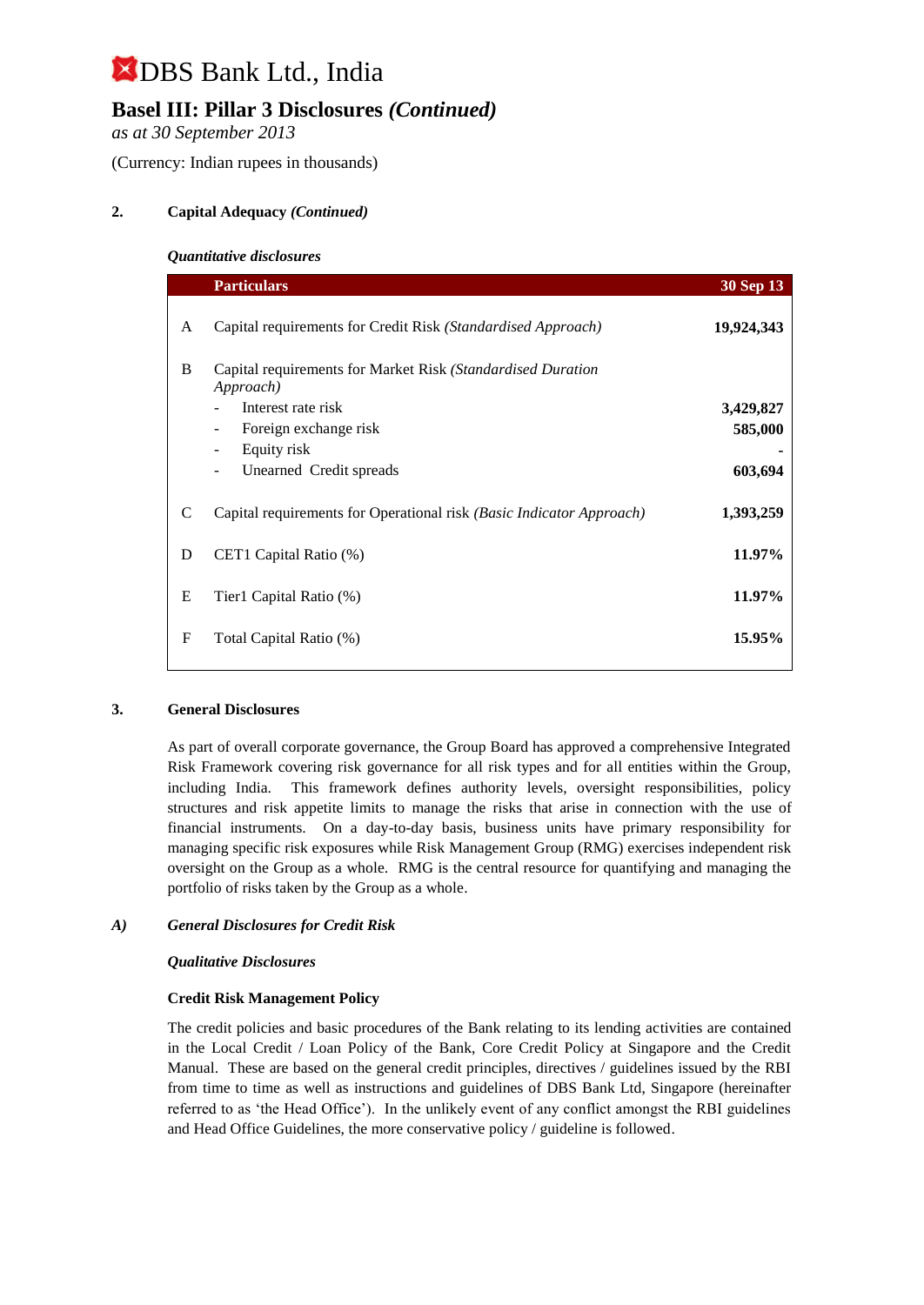## **Basel III: Pillar 3 Disclosures** *(Continued)*

*as at 30 September 2013*

(Currency: Indian rupees in thousands)

#### **2. Capital Adequacy** *(Continued)*

#### *Quantitative disclosures*

|   | <b>Particulars</b>                                                                             | <b>30 Sep 13</b> |
|---|------------------------------------------------------------------------------------------------|------------------|
| A | Capital requirements for Credit Risk (Standardised Approach)                                   | 19,924,343       |
| B | Capital requirements for Market Risk (Standardised Duration<br>Approach)<br>Interest rate risk | 3,429,827        |
|   | Foreign exchange risk<br>$\overline{\phantom{a}}$                                              | 585,000          |
|   | Equity risk<br>$\overline{\phantom{a}}$                                                        |                  |
|   | Unearned Credit spreads<br>$\overline{\phantom{0}}$                                            | 603,694          |
| C | Capital requirements for Operational risk (Basic Indicator Approach)                           | 1,393,259        |
| D | CET1 Capital Ratio (%)                                                                         | 11.97%           |
| E | Tier1 Capital Ratio (%)                                                                        | 11.97%           |
| F | Total Capital Ratio (%)                                                                        | 15.95%           |
|   |                                                                                                |                  |

#### **3. General Disclosures**

As part of overall corporate governance, the Group Board has approved a comprehensive Integrated Risk Framework covering risk governance for all risk types and for all entities within the Group, including India. This framework defines authority levels, oversight responsibilities, policy structures and risk appetite limits to manage the risks that arise in connection with the use of financial instruments. On a day-to-day basis, business units have primary responsibility for managing specific risk exposures while Risk Management Group (RMG) exercises independent risk oversight on the Group as a whole. RMG is the central resource for quantifying and managing the portfolio of risks taken by the Group as a whole.

#### *A) General Disclosures for Credit Risk*

#### *Qualitative Disclosures*

#### **Credit Risk Management Policy**

The credit policies and basic procedures of the Bank relating to its lending activities are contained in the Local Credit / Loan Policy of the Bank, Core Credit Policy at Singapore and the Credit Manual. These are based on the general credit principles, directives / guidelines issued by the RBI from time to time as well as instructions and guidelines of DBS Bank Ltd, Singapore (hereinafter referred to as 'the Head Office'). In the unlikely event of any conflict amongst the RBI guidelines and Head Office Guidelines, the more conservative policy / guideline is followed.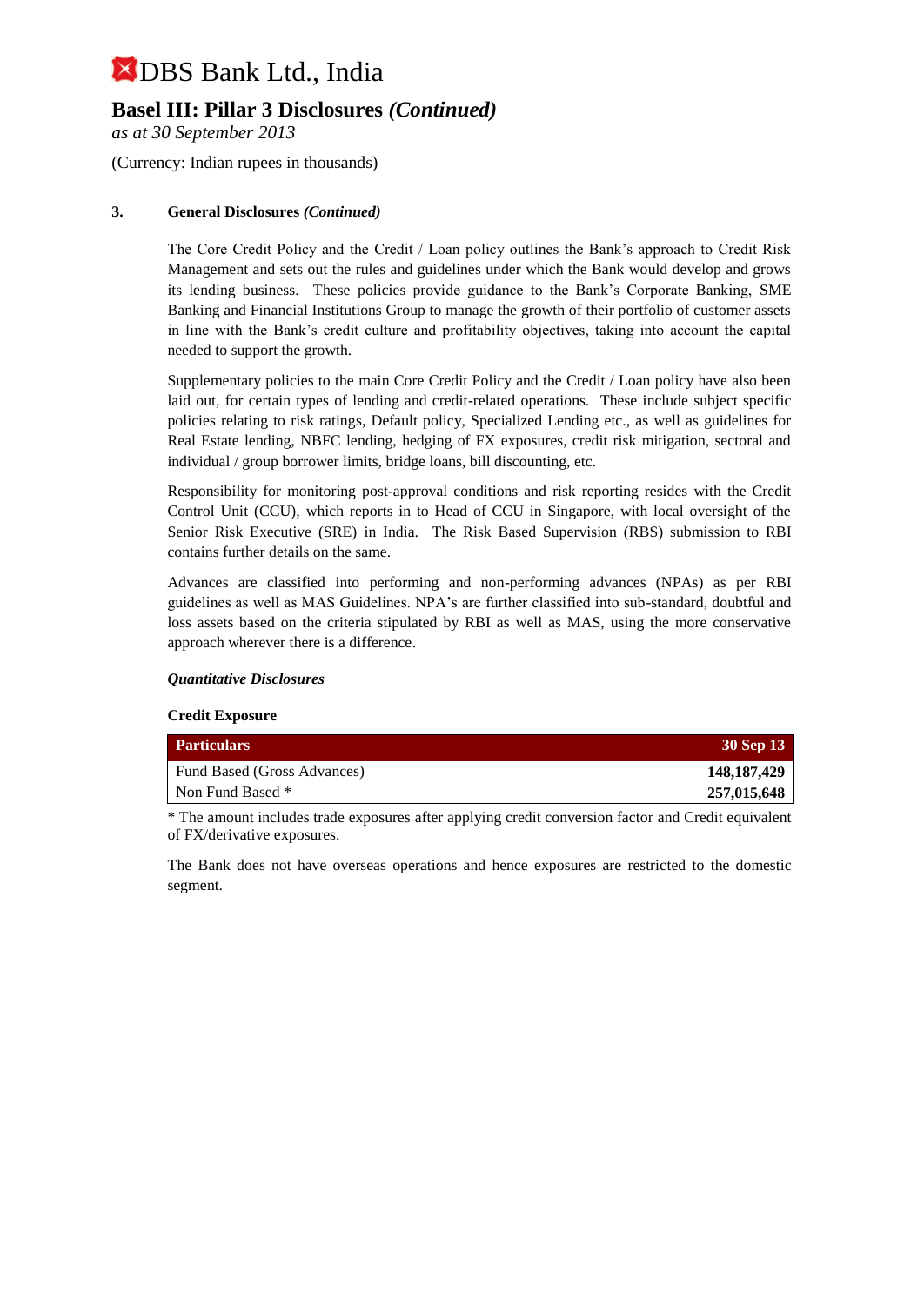### **Basel III: Pillar 3 Disclosures** *(Continued)*

*as at 30 September 2013*

(Currency: Indian rupees in thousands)

#### **3. General Disclosures** *(Continued)*

The Core Credit Policy and the Credit / Loan policy outlines the Bank's approach to Credit Risk Management and sets out the rules and guidelines under which the Bank would develop and grows its lending business. These policies provide guidance to the Bank's Corporate Banking, SME Banking and Financial Institutions Group to manage the growth of their portfolio of customer assets in line with the Bank's credit culture and profitability objectives, taking into account the capital needed to support the growth.

Supplementary policies to the main Core Credit Policy and the Credit / Loan policy have also been laid out, for certain types of lending and credit-related operations. These include subject specific policies relating to risk ratings, Default policy, Specialized Lending etc., as well as guidelines for Real Estate lending, NBFC lending, hedging of FX exposures, credit risk mitigation, sectoral and individual / group borrower limits, bridge loans, bill discounting, etc.

Responsibility for monitoring post-approval conditions and risk reporting resides with the Credit Control Unit (CCU), which reports in to Head of CCU in Singapore, with local oversight of the Senior Risk Executive (SRE) in India. The Risk Based Supervision (RBS) submission to RBI contains further details on the same.

Advances are classified into performing and non-performing advances (NPAs) as per RBI guidelines as well as MAS Guidelines. NPA's are further classified into sub-standard, doubtful and loss assets based on the criteria stipulated by RBI as well as MAS, using the more conservative approach wherever there is a difference.

#### *Quantitative Disclosures*

#### **Credit Exposure**

| <b>Particulars</b>          | 30 Sep 13     |
|-----------------------------|---------------|
| Fund Based (Gross Advances) | 148, 187, 429 |
| Non Fund Based *            | 257,015,648   |

\* The amount includes trade exposures after applying credit conversion factor and Credit equivalent of FX/derivative exposures.

The Bank does not have overseas operations and hence exposures are restricted to the domestic segment.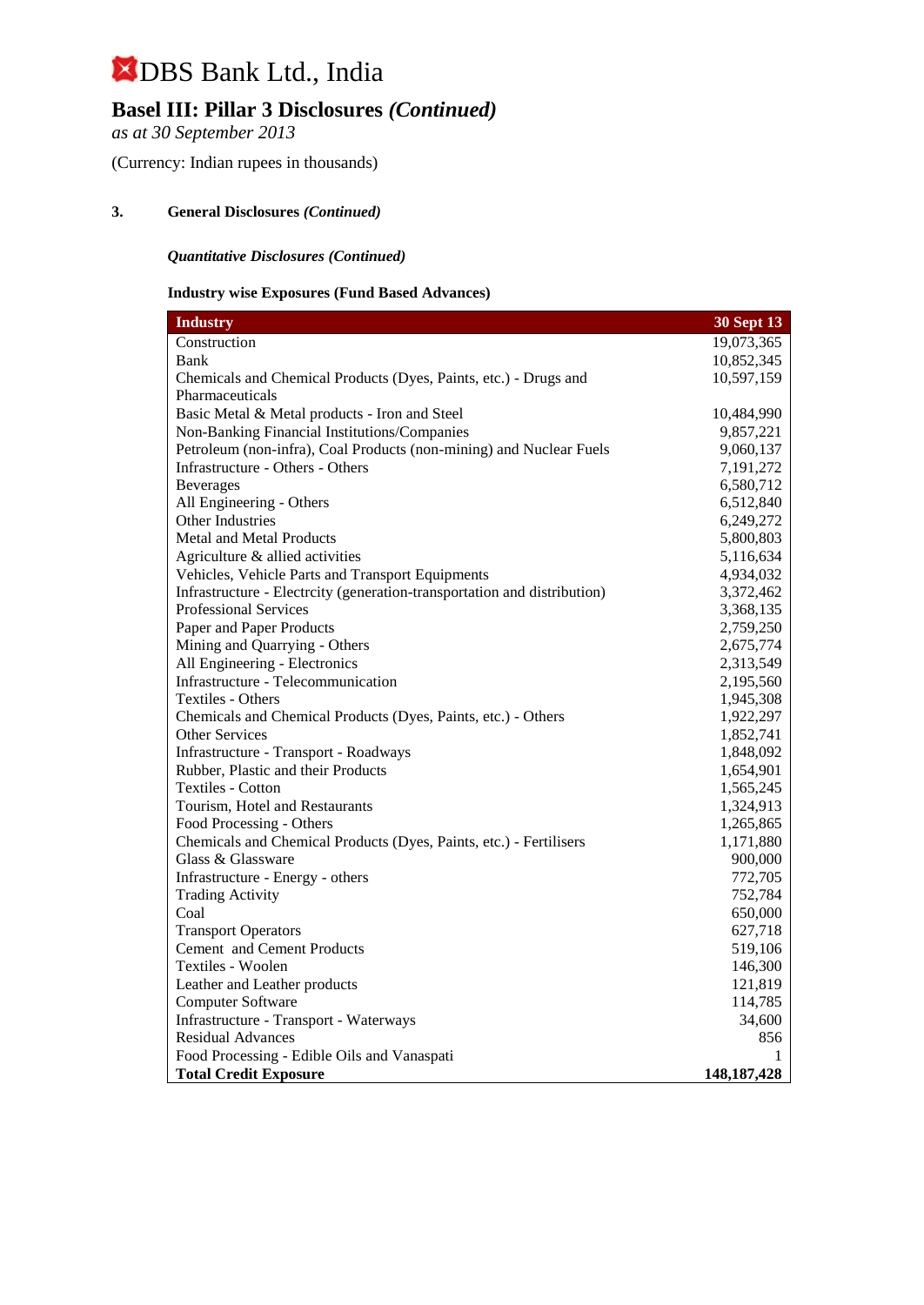## **Basel III: Pillar 3 Disclosures** *(Continued)*

*as at 30 September 2013*

(Currency: Indian rupees in thousands)

#### **3. General Disclosures** *(Continued)*

#### *Quantitative Disclosures (Continued)*

#### **Industry wise Exposures (Fund Based Advances)**

| <b>Industry</b>                                                          | 30 Sept 13    |
|--------------------------------------------------------------------------|---------------|
| Construction                                                             | 19,073,365    |
| Bank                                                                     | 10,852,345    |
| Chemicals and Chemical Products (Dyes, Paints, etc.) - Drugs and         | 10,597,159    |
| Pharmaceuticals                                                          |               |
| Basic Metal & Metal products - Iron and Steel                            | 10,484,990    |
| Non-Banking Financial Institutions/Companies                             | 9,857,221     |
| Petroleum (non-infra), Coal Products (non-mining) and Nuclear Fuels      | 9,060,137     |
| Infrastructure - Others - Others                                         | 7,191,272     |
| <b>Beverages</b>                                                         | 6,580,712     |
| All Engineering - Others                                                 | 6,512,840     |
| Other Industries                                                         | 6,249,272     |
| Metal and Metal Products                                                 | 5,800,803     |
| Agriculture & allied activities                                          | 5,116,634     |
| Vehicles, Vehicle Parts and Transport Equipments                         | 4,934,032     |
| Infrastructure - Electrcity (generation-transportation and distribution) | 3,372,462     |
| <b>Professional Services</b>                                             | 3,368,135     |
| Paper and Paper Products                                                 | 2,759,250     |
| Mining and Quarrying - Others                                            | 2,675,774     |
| All Engineering - Electronics                                            | 2,313,549     |
| Infrastructure - Telecommunication                                       | 2,195,560     |
| Textiles - Others                                                        | 1,945,308     |
| Chemicals and Chemical Products (Dyes, Paints, etc.) - Others            | 1,922,297     |
| <b>Other Services</b>                                                    | 1,852,741     |
| Infrastructure - Transport - Roadways                                    | 1,848,092     |
| Rubber, Plastic and their Products                                       | 1,654,901     |
| <b>Textiles - Cotton</b>                                                 | 1,565,245     |
| Tourism, Hotel and Restaurants                                           | 1,324,913     |
| Food Processing - Others                                                 | 1,265,865     |
| Chemicals and Chemical Products (Dyes, Paints, etc.) - Fertilisers       | 1,171,880     |
| Glass & Glassware                                                        | 900,000       |
| Infrastructure - Energy - others                                         | 772,705       |
| <b>Trading Activity</b>                                                  | 752,784       |
| Coal                                                                     | 650,000       |
| <b>Transport Operators</b>                                               | 627,718       |
| Cement and Cement Products                                               | 519,106       |
| Textiles - Woolen                                                        | 146,300       |
| Leather and Leather products                                             | 121,819       |
| Computer Software                                                        | 114,785       |
| Infrastructure - Transport - Waterways                                   | 34,600        |
| <b>Residual Advances</b>                                                 | 856           |
| Food Processing - Edible Oils and Vanaspati                              | 1             |
| <b>Total Credit Exposure</b>                                             | 148, 187, 428 |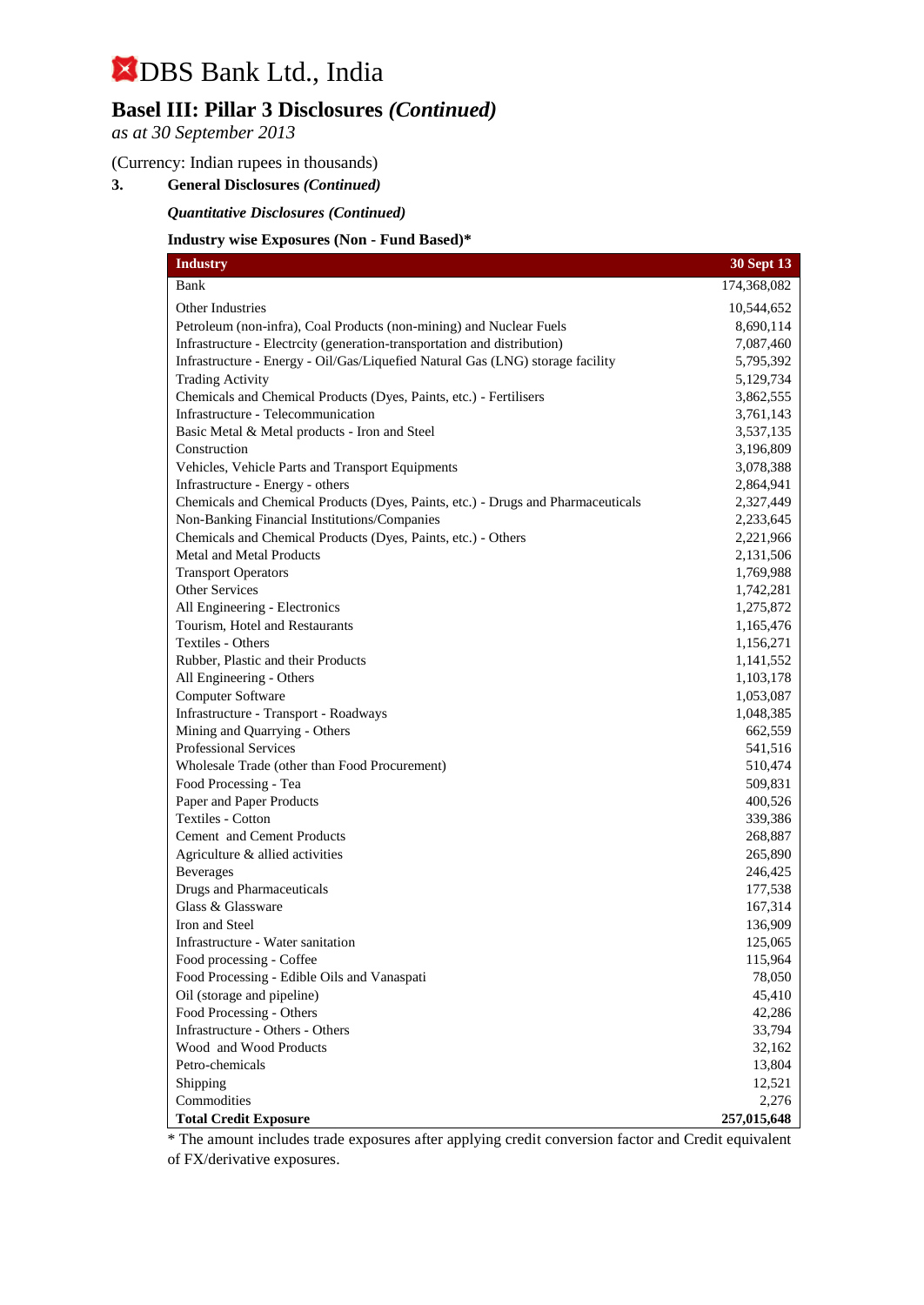## **Basel III: Pillar 3 Disclosures** *(Continued)*

*as at 30 September 2013*

#### (Currency: Indian rupees in thousands)

**3. General Disclosures** *(Continued)*

*Quantitative Disclosures (Continued)*

#### **Industry wise Exposures (Non - Fund Based)\***

| <b>Industry</b>                                                                  | 30 Sept 13  |
|----------------------------------------------------------------------------------|-------------|
| Bank                                                                             | 174,368,082 |
| Other Industries                                                                 | 10,544,652  |
| Petroleum (non-infra), Coal Products (non-mining) and Nuclear Fuels              | 8,690,114   |
| Infrastructure - Electrcity (generation-transportation and distribution)         | 7,087,460   |
| Infrastructure - Energy - Oil/Gas/Liquefied Natural Gas (LNG) storage facility   | 5,795,392   |
| <b>Trading Activity</b>                                                          | 5,129,734   |
| Chemicals and Chemical Products (Dyes, Paints, etc.) - Fertilisers               | 3,862,555   |
| Infrastructure - Telecommunication                                               | 3,761,143   |
| Basic Metal & Metal products - Iron and Steel                                    | 3,537,135   |
| Construction                                                                     | 3,196,809   |
| Vehicles, Vehicle Parts and Transport Equipments                                 | 3,078,388   |
| Infrastructure - Energy - others                                                 | 2,864,941   |
| Chemicals and Chemical Products (Dyes, Paints, etc.) - Drugs and Pharmaceuticals | 2,327,449   |
| Non-Banking Financial Institutions/Companies                                     | 2,233,645   |
| Chemicals and Chemical Products (Dyes, Paints, etc.) - Others                    | 2,221,966   |
| <b>Metal and Metal Products</b>                                                  | 2,131,506   |
| <b>Transport Operators</b>                                                       | 1,769,988   |
| Other Services                                                                   | 1,742,281   |
| All Engineering - Electronics                                                    | 1,275,872   |
| Tourism, Hotel and Restaurants                                                   | 1,165,476   |
| <b>Textiles - Others</b>                                                         | 1,156,271   |
| Rubber, Plastic and their Products                                               | 1,141,552   |
| All Engineering - Others                                                         | 1,103,178   |
| Computer Software                                                                | 1,053,087   |
| Infrastructure - Transport - Roadways                                            | 1,048,385   |
| Mining and Quarrying - Others                                                    | 662,559     |
| <b>Professional Services</b>                                                     | 541,516     |
| Wholesale Trade (other than Food Procurement)                                    | 510,474     |
| Food Processing - Tea                                                            | 509,831     |
| Paper and Paper Products                                                         | 400,526     |
| <b>Textiles - Cotton</b>                                                         | 339,386     |
| Cement and Cement Products                                                       | 268,887     |
| Agriculture & allied activities                                                  | 265,890     |
| <b>Beverages</b>                                                                 | 246,425     |
| Drugs and Pharmaceuticals                                                        | 177,538     |
| Glass & Glassware                                                                | 167,314     |
| Iron and Steel                                                                   | 136,909     |
| Infrastructure - Water sanitation                                                | 125,065     |
| Food processing - Coffee                                                         | 115,964     |
| Food Processing - Edible Oils and Vanaspati                                      | 78,050      |
| Oil (storage and pipeline)                                                       | 45,410      |
| Food Processing - Others                                                         | 42,286      |
| Infrastructure - Others - Others                                                 | 33,794      |
| Wood and Wood Products                                                           | 32,162      |
| Petro-chemicals                                                                  | 13,804      |
| Shipping                                                                         | 12,521      |
| Commodities                                                                      | 2,276       |
| <b>Total Credit Exposure</b>                                                     | 257,015,648 |

\* The amount includes trade exposures after applying credit conversion factor and Credit equivalent of FX/derivative exposures.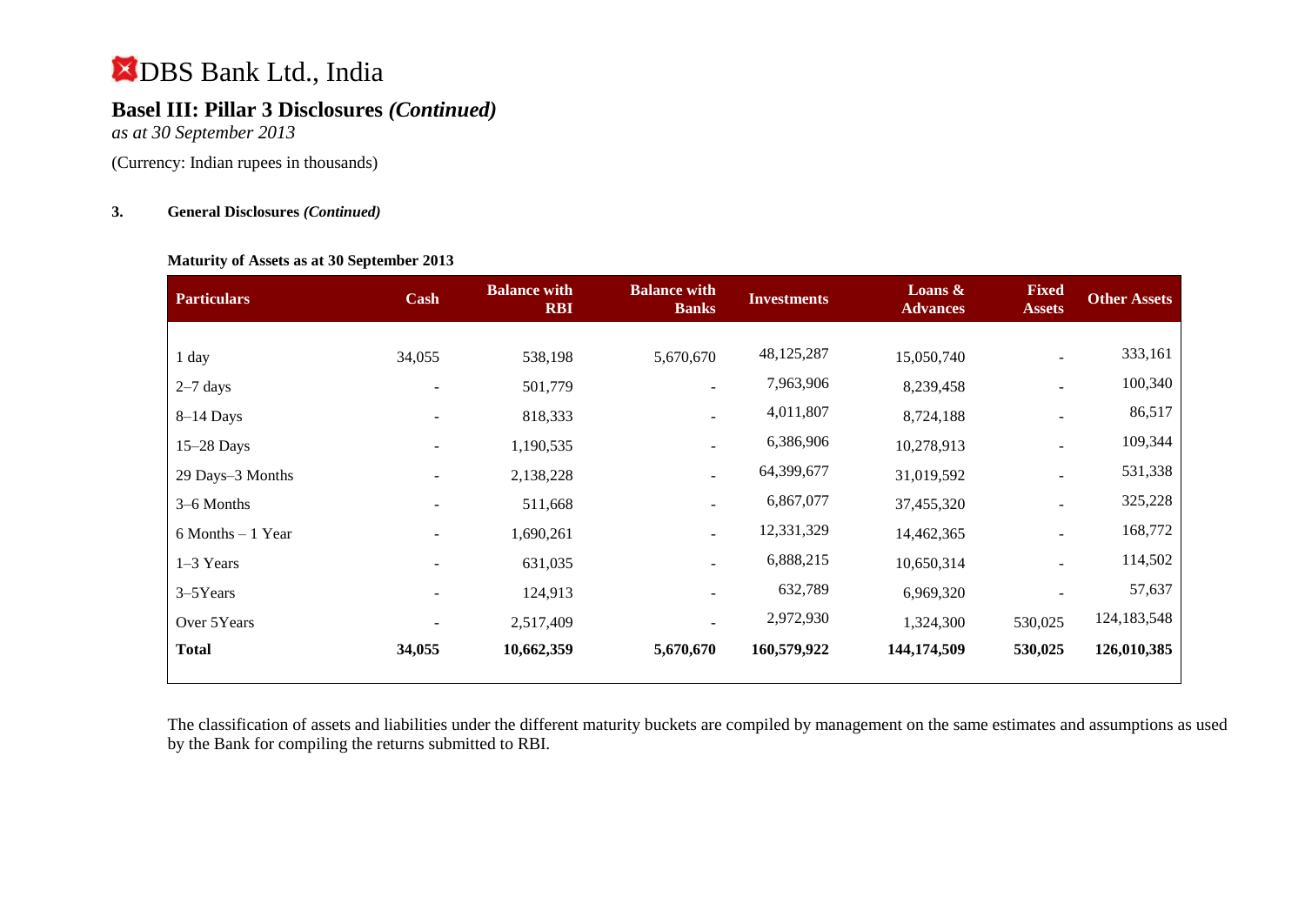## **Basel III: Pillar 3 Disclosures** *(Continued)*

*as at 30 September 2013*

(Currency: Indian rupees in thousands)

#### **3. General Disclosures** *(Continued)*

#### **Maturity of Assets as at 30 September 2013**

| <b>Particulars</b>   | Cash   | <b>Balance with</b><br><b>RBI</b> | <b>Balance with</b><br><b>Banks</b> | <b>Investments</b> | Loans $\&$<br><b>Advances</b> | <b>Fixed</b><br><b>Assets</b> | <b>Other Assets</b> |
|----------------------|--------|-----------------------------------|-------------------------------------|--------------------|-------------------------------|-------------------------------|---------------------|
|                      |        |                                   |                                     |                    |                               |                               |                     |
| 1 day                | 34,055 | 538,198                           | 5,670,670                           | 48,125,287         | 15,050,740                    | $\overline{\phantom{a}}$      | 333,161             |
| $2-7$ days           |        | 501,779                           | $\overline{\phantom{a}}$            | 7,963,906          | 8,239,458                     |                               | 100,340             |
| $8-14$ Days          |        | 818,333                           | $\overline{\phantom{a}}$            | 4,011,807          | 8,724,188                     | $\overline{\phantom{a}}$      | 86,517              |
| 15-28 Days           |        | 1,190,535                         | $\overline{\phantom{a}}$            | 6,386,906          | 10,278,913                    |                               | 109,344             |
| 29 Days-3 Months     |        | 2,138,228                         | $\overline{\phantom{a}}$            | 64,399,677         | 31,019,592                    | $\overline{\phantom{a}}$      | 531,338             |
| 3–6 Months           |        | 511,668                           |                                     | 6,867,077          | 37,455,320                    | $\blacksquare$                | 325,228             |
| $6$ Months $-1$ Year |        | 1,690,261                         | $\overline{\phantom{a}}$            | 12,331,329         | 14,462,365                    |                               | 168,772             |
| 1-3 Years            |        | 631,035                           |                                     | 6,888,215          | 10,650,314                    |                               | 114,502             |
| 3-5Years             |        | 124,913                           |                                     | 632,789            | 6,969,320                     |                               | 57,637              |
| Over 5Years          |        | 2,517,409                         |                                     | 2,972,930          | 1,324,300                     | 530,025                       | 124, 183, 548       |
| <b>Total</b>         | 34,055 | 10,662,359                        | 5,670,670                           | 160,579,922        | 144,174,509                   | 530,025                       | 126,010,385         |
|                      |        |                                   |                                     |                    |                               |                               |                     |

The classification of assets and liabilities under the different maturity buckets are compiled by management on the same estimates and assumptions as used by the Bank for compiling the returns submitted to RBI.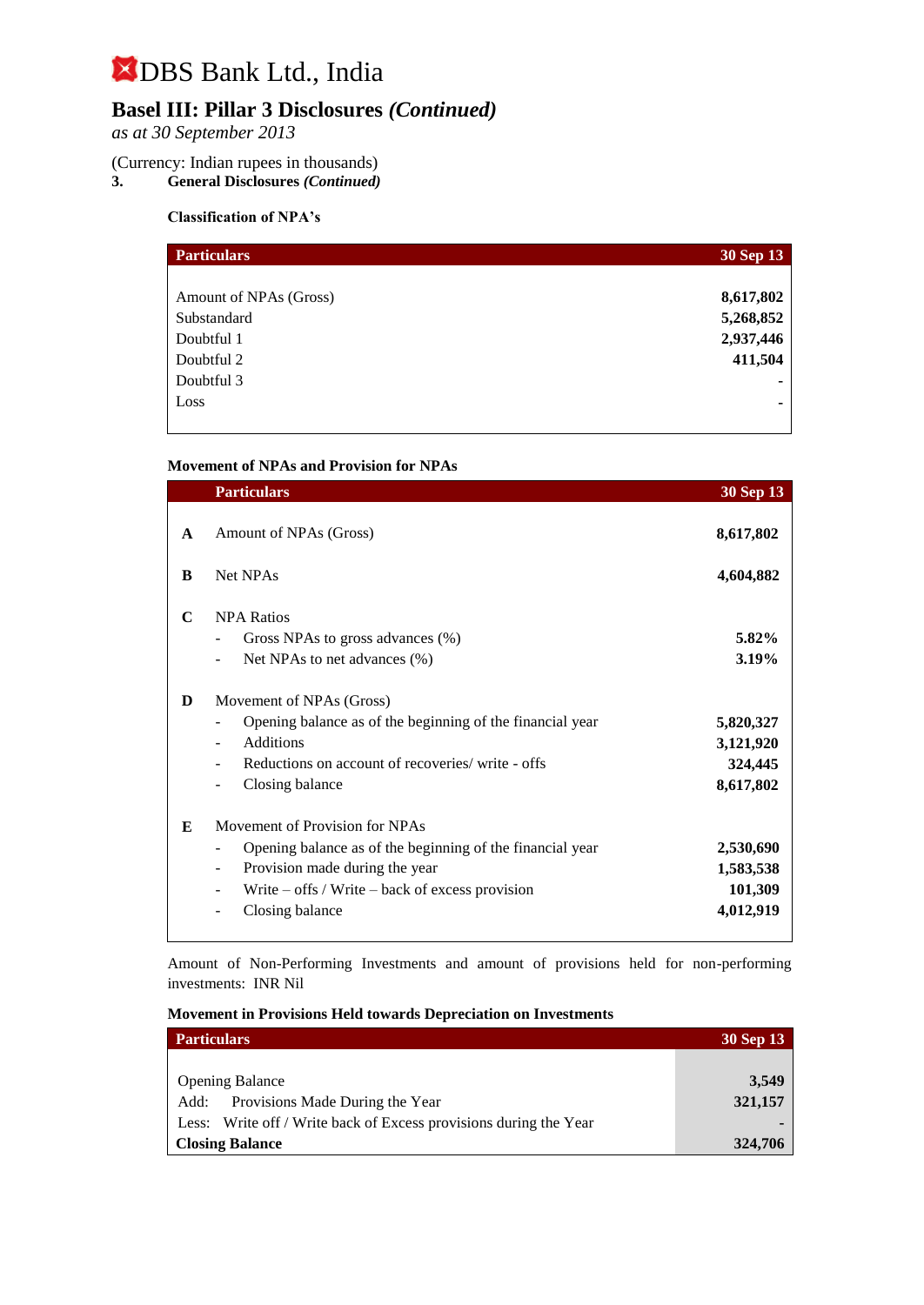## **Basel III: Pillar 3 Disclosures** *(Continued)*

*as at 30 September 2013*

# (Currency: Indian rupees in thousands)<br>3. General Disclosures (Continued)

**3. General Disclosures** *(Continued)*

#### **Classification of NPA's**

| <b>Particulars</b>     | 30 Sep 13 |
|------------------------|-----------|
|                        |           |
| Amount of NPAs (Gross) | 8,617,802 |
| Substandard            | 5,268,852 |
| Doubtful 1             | 2,937,446 |
| Doubtful 2             | 411,504   |
| Doubtful 3             | ٠         |
| Loss                   | ۰         |
|                        |           |

#### **Movement of NPAs and Provision for NPAs**

|              | <b>Particulars</b>                                                                                                                                                                                                 | 30 Sep 13                                      |
|--------------|--------------------------------------------------------------------------------------------------------------------------------------------------------------------------------------------------------------------|------------------------------------------------|
| $\mathbf{A}$ | Amount of NPAs (Gross)                                                                                                                                                                                             | 8,617,802                                      |
| B            | <b>Net NPAs</b>                                                                                                                                                                                                    | 4,604,882                                      |
| C            | <b>NPA Ratios</b><br>Gross NPAs to gross advances (%)<br>Net NPAs to net advances (%)                                                                                                                              | 5.82%<br>3.19%                                 |
| D            | Movement of NPAs (Gross)<br>Opening balance as of the beginning of the financial year<br>$\overline{\phantom{a}}$<br><b>Additions</b><br>Reductions on account of recoveries/ write - offs<br>٠<br>Closing balance | 5,820,327<br>3,121,920<br>324,445<br>8,617,802 |
| E            | Movement of Provision for NPAs<br>Opening balance as of the beginning of the financial year<br>Provision made during the year<br>Write $-$ offs / Write $-$ back of excess provision<br>Closing balance            | 2,530,690<br>1,583,538<br>101,309<br>4,012,919 |

Amount of Non-Performing Investments and amount of provisions held for non-performing investments:INR Nil

|  | <b>Movement in Provisions Held towards Depreciation on Investments</b> |  |  |  |  |  |  |
|--|------------------------------------------------------------------------|--|--|--|--|--|--|
|--|------------------------------------------------------------------------|--|--|--|--|--|--|

| <b>Particulars</b>                                                | 30 Sep 13 |
|-------------------------------------------------------------------|-----------|
|                                                                   |           |
| <b>Opening Balance</b>                                            | 3,549     |
| Add: Provisions Made During the Year                              | 321,157   |
| Less: Write off / Write back of Excess provisions during the Year |           |
| <b>Closing Balance</b>                                            | 324,706   |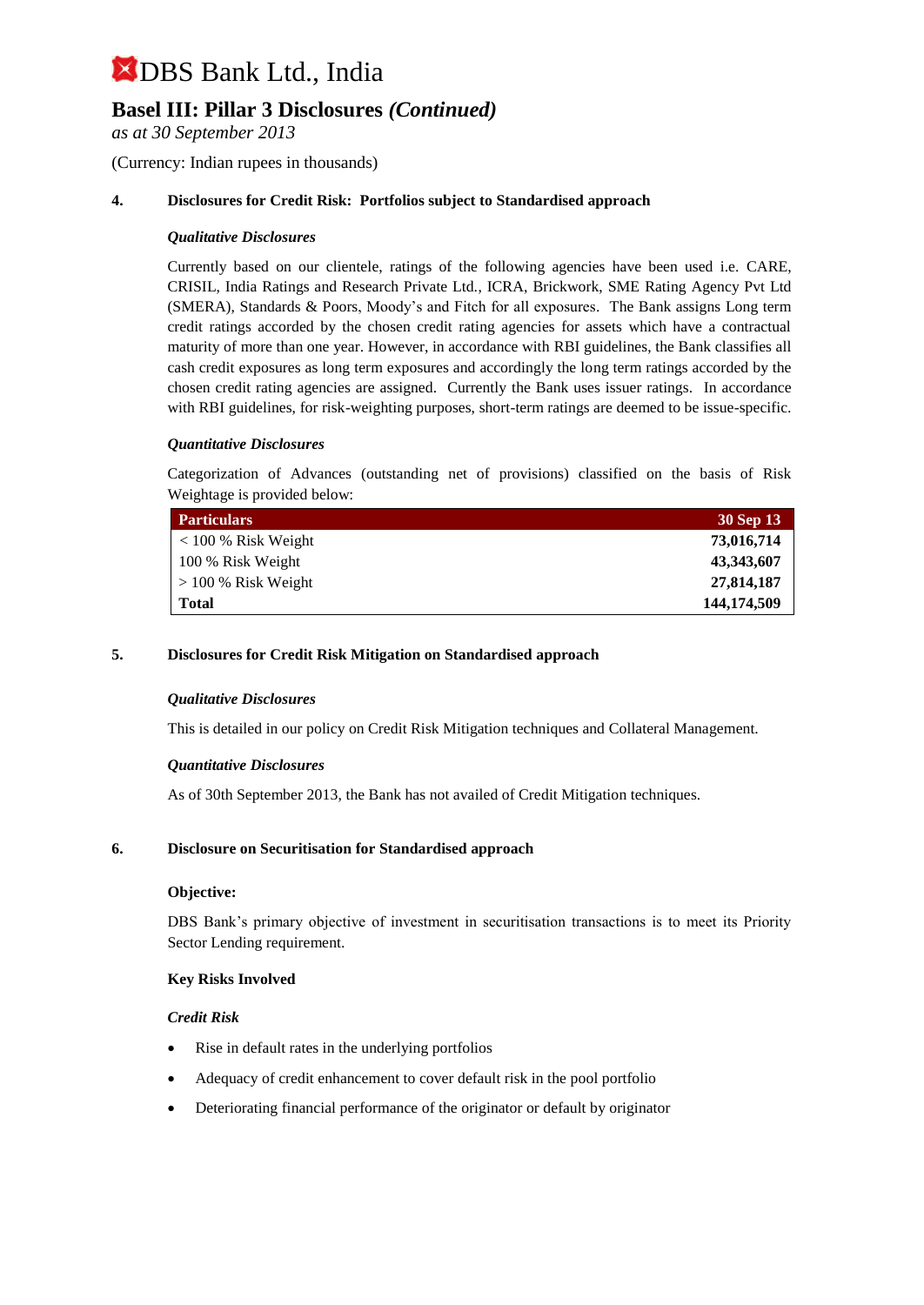### **Basel III: Pillar 3 Disclosures** *(Continued)*

*as at 30 September 2013*

(Currency: Indian rupees in thousands)

#### **4. Disclosures for Credit Risk: Portfolios subject to Standardised approach**

#### *Qualitative Disclosures*

Currently based on our clientele, ratings of the following agencies have been used i.e. CARE, CRISIL, India Ratings and Research Private Ltd., ICRA, Brickwork, SME Rating Agency Pvt Ltd (SMERA), Standards & Poors, Moody's and Fitch for all exposures. The Bank assigns Long term credit ratings accorded by the chosen credit rating agencies for assets which have a contractual maturity of more than one year. However, in accordance with RBI guidelines, the Bank classifies all cash credit exposures as long term exposures and accordingly the long term ratings accorded by the chosen credit rating agencies are assigned. Currently the Bank uses issuer ratings. In accordance with RBI guidelines, for risk-weighting purposes, short-term ratings are deemed to be issue-specific.

#### *Quantitative Disclosures*

Categorization of Advances (outstanding net of provisions) classified on the basis of Risk Weightage is provided below:

| <b>Particulars</b>    | 30 Sep 13   |
|-----------------------|-------------|
| $< 100 %$ Risk Weight | 73,016,714  |
| 100 % Risk Weight     | 43,343,607  |
| $> 100\%$ Risk Weight | 27,814,187  |
| <b>Total</b>          | 144,174,509 |

#### **5. Disclosures for Credit Risk Mitigation on Standardised approach**

#### *Qualitative Disclosures*

This is detailed in our policy on Credit Risk Mitigation techniques and Collateral Management.

#### *Quantitative Disclosures*

As of 30th September 2013, the Bank has not availed of Credit Mitigation techniques.

#### **6. Disclosure on Securitisation for Standardised approach**

#### **Objective:**

DBS Bank's primary objective of investment in securitisation transactions is to meet its Priority Sector Lending requirement.

#### **Key Risks Involved**

#### *Credit Risk*

- Rise in default rates in the underlying portfolios
- Adequacy of credit enhancement to cover default risk in the pool portfolio
- Deteriorating financial performance of the originator or default by originator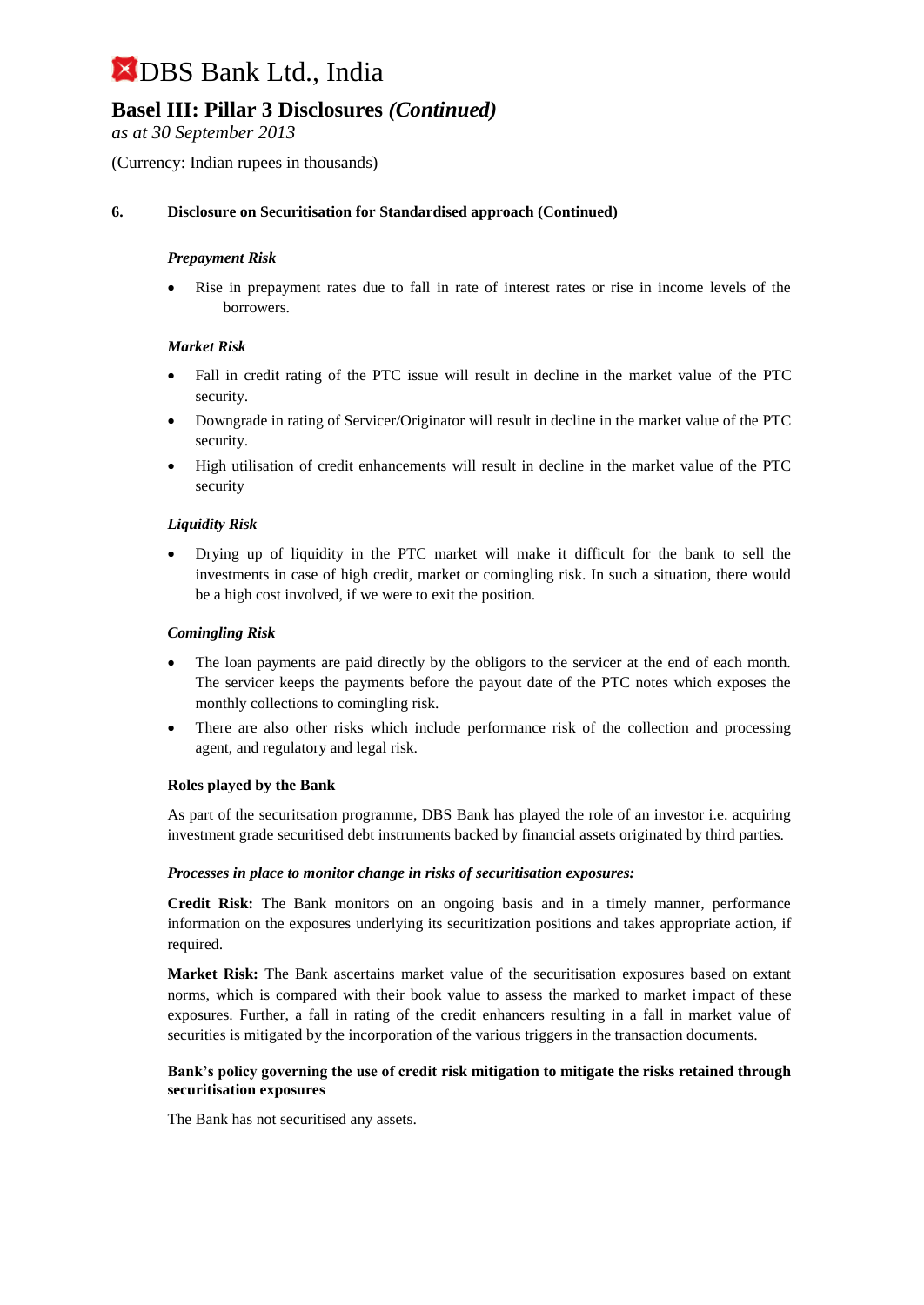### **Basel III: Pillar 3 Disclosures** *(Continued)*

*as at 30 September 2013*

(Currency: Indian rupees in thousands)

#### **6. Disclosure on Securitisation for Standardised approach (Continued)**

#### *Prepayment Risk*

 Rise in prepayment rates due to fall in rate of interest rates or rise in income levels of the borrowers.

#### *Market Risk*

- Fall in credit rating of the PTC issue will result in decline in the market value of the PTC security.
- Downgrade in rating of Servicer/Originator will result in decline in the market value of the PTC security.
- High utilisation of credit enhancements will result in decline in the market value of the PTC security

#### *Liquidity Risk*

 Drying up of liquidity in the PTC market will make it difficult for the bank to sell the investments in case of high credit, market or comingling risk. In such a situation, there would be a high cost involved, if we were to exit the position.

#### *Comingling Risk*

- The loan payments are paid directly by the obligors to the servicer at the end of each month. The servicer keeps the payments before the payout date of the PTC notes which exposes the monthly collections to comingling risk.
- There are also other risks which include performance risk of the collection and processing agent, and regulatory and legal risk.

#### **Roles played by the Bank**

As part of the securitsation programme, DBS Bank has played the role of an investor i.e. acquiring investment grade securitised debt instruments backed by financial assets originated by third parties.

#### *Processes in place to monitor change in risks of securitisation exposures:*

**Credit Risk:** The Bank monitors on an ongoing basis and in a timely manner, performance information on the exposures underlying its securitization positions and takes appropriate action, if required.

**Market Risk:** The Bank ascertains market value of the securitisation exposures based on extant norms, which is compared with their book value to assess the marked to market impact of these exposures. Further, a fall in rating of the credit enhancers resulting in a fall in market value of securities is mitigated by the incorporation of the various triggers in the transaction documents.

#### **Bank's policy governing the use of credit risk mitigation to mitigate the risks retained through securitisation exposures**

The Bank has not securitised any assets.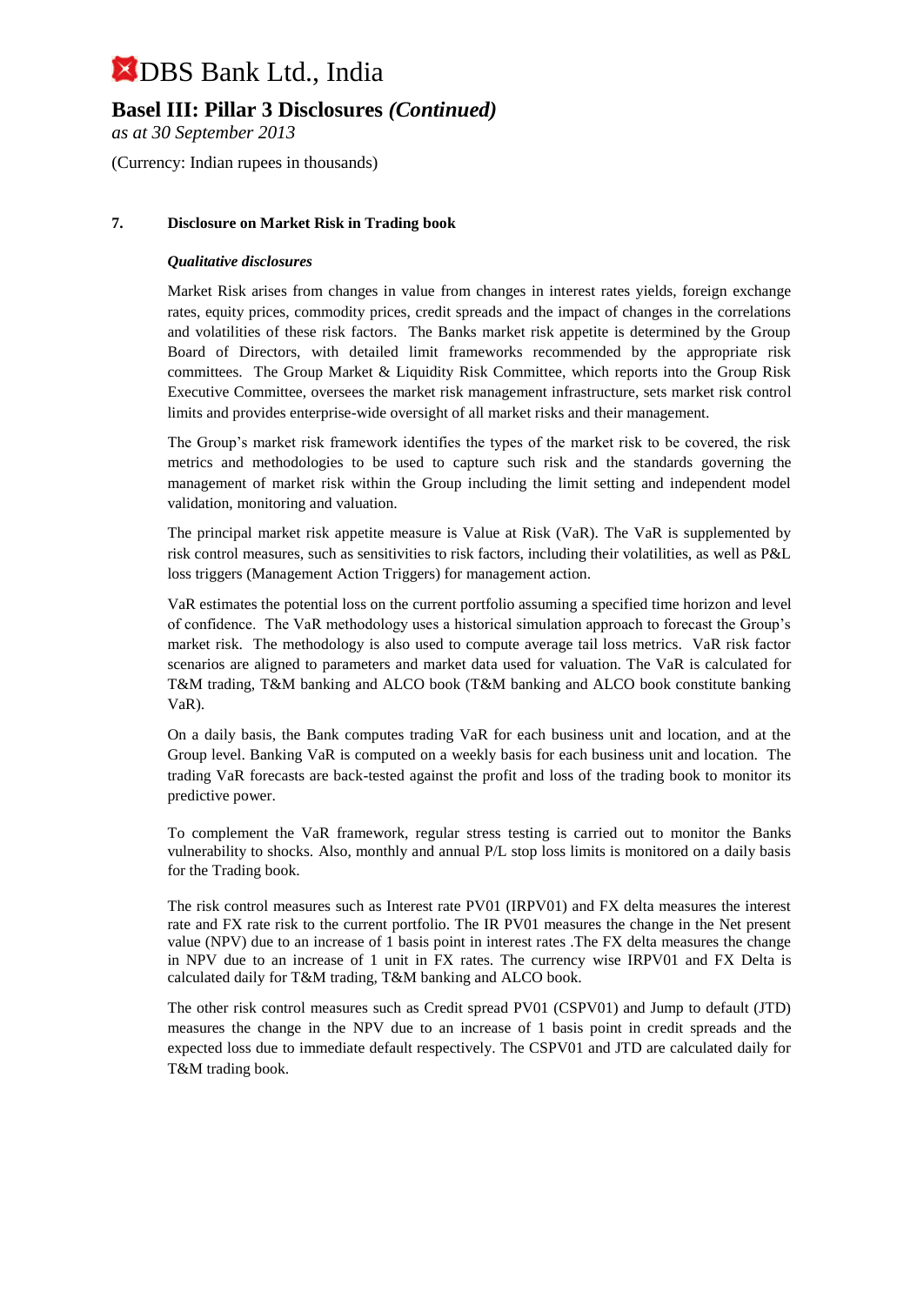### **Basel III: Pillar 3 Disclosures** *(Continued)*

*as at 30 September 2013*

(Currency: Indian rupees in thousands)

#### **7. Disclosure on Market Risk in Trading book**

#### *Qualitative disclosures*

Market Risk arises from changes in value from changes in interest rates yields, foreign exchange rates, equity prices, commodity prices, credit spreads and the impact of changes in the correlations and volatilities of these risk factors. The Banks market risk appetite is determined by the Group Board of Directors, with detailed limit frameworks recommended by the appropriate risk committees. The Group Market & Liquidity Risk Committee, which reports into the Group Risk Executive Committee, oversees the market risk management infrastructure, sets market risk control limits and provides enterprise-wide oversight of all market risks and their management.

The Group's market risk framework identifies the types of the market risk to be covered, the risk metrics and methodologies to be used to capture such risk and the standards governing the management of market risk within the Group including the limit setting and independent model validation, monitoring and valuation.

The principal market risk appetite measure is Value at Risk (VaR). The VaR is supplemented by risk control measures, such as sensitivities to risk factors, including their volatilities, as well as P&L loss triggers (Management Action Triggers) for management action.

VaR estimates the potential loss on the current portfolio assuming a specified time horizon and level of confidence. The VaR methodology uses a historical simulation approach to forecast the Group's market risk. The methodology is also used to compute average tail loss metrics. VaR risk factor scenarios are aligned to parameters and market data used for valuation. The VaR is calculated for T&M trading, T&M banking and ALCO book (T&M banking and ALCO book constitute banking VaR).

On a daily basis, the Bank computes trading VaR for each business unit and location, and at the Group level. Banking VaR is computed on a weekly basis for each business unit and location. The trading VaR forecasts are back-tested against the profit and loss of the trading book to monitor its predictive power.

To complement the VaR framework, regular stress testing is carried out to monitor the Banks vulnerability to shocks. Also, monthly and annual P/L stop loss limits is monitored on a daily basis for the Trading book.

The risk control measures such as Interest rate PV01 (IRPV01) and FX delta measures the interest rate and FX rate risk to the current portfolio. The IR PV01 measures the change in the Net present value (NPV) due to an increase of 1 basis point in interest rates .The FX delta measures the change in NPV due to an increase of 1 unit in FX rates. The currency wise IRPV01 and FX Delta is calculated daily for T&M trading, T&M banking and ALCO book.

The other risk control measures such as Credit spread PV01 (CSPV01) and Jump to default (JTD) measures the change in the NPV due to an increase of 1 basis point in credit spreads and the expected loss due to immediate default respectively. The CSPV01 and JTD are calculated daily for T&M trading book.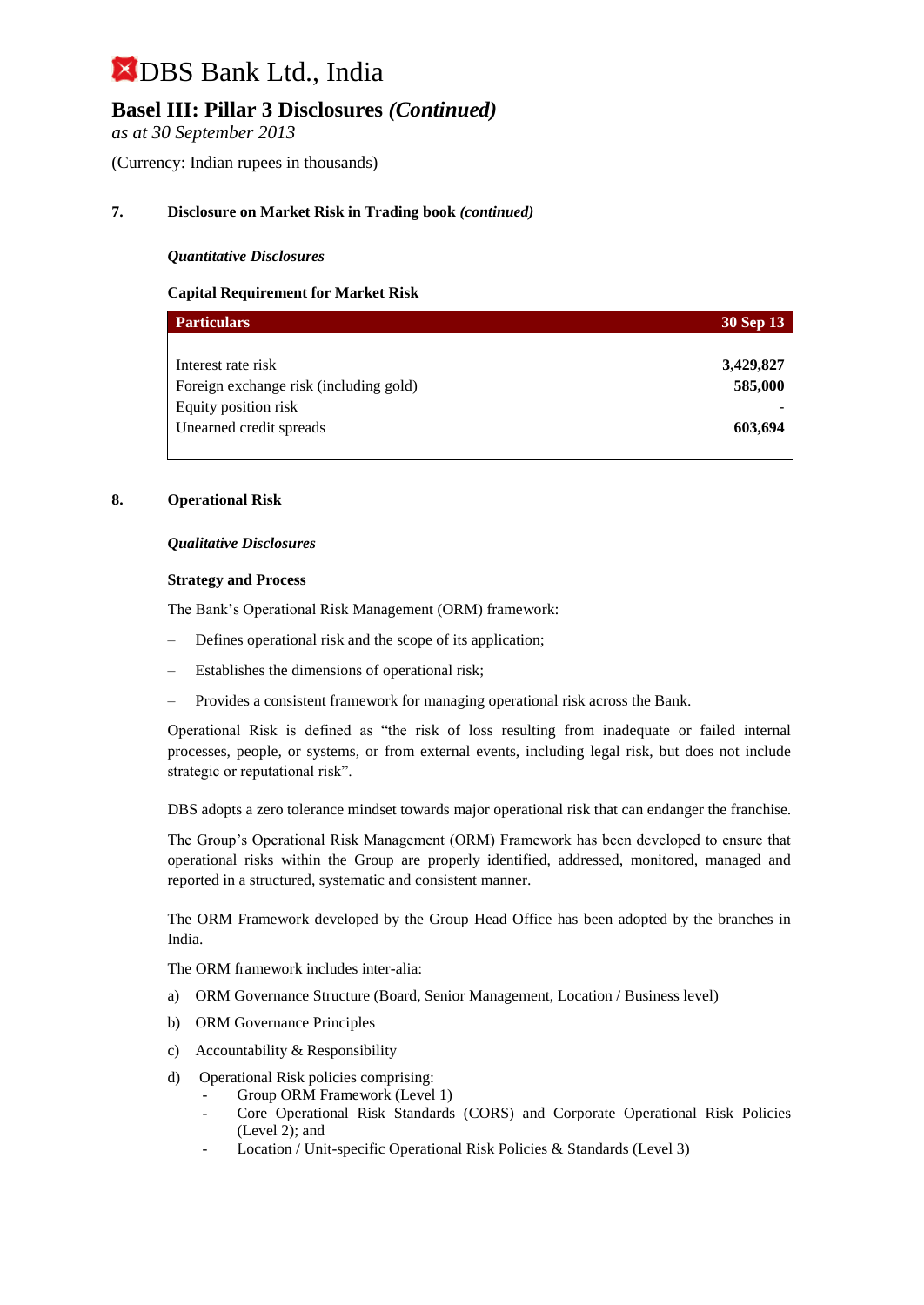### **Basel III: Pillar 3 Disclosures** *(Continued)*

*as at 30 September 2013*

(Currency: Indian rupees in thousands)

#### **7. Disclosure on Market Risk in Trading book** *(continued)*

#### *Quantitative Disclosures*

#### **Capital Requirement for Market Risk**

| <b>Particulars</b>                     | 30 Sep 13 |
|----------------------------------------|-----------|
|                                        |           |
| Interest rate risk                     | 3,429,827 |
| Foreign exchange risk (including gold) | 585,000   |
| Equity position risk                   |           |
| Unearned credit spreads                | 603,694   |
|                                        |           |

#### **8. Operational Risk**

#### *Qualitative Disclosures*

#### **Strategy and Process**

The Bank's Operational Risk Management (ORM) framework:

- Defines operational risk and the scope of its application;
- Establishes the dimensions of operational risk;
- Provides a consistent framework for managing operational risk across the Bank.

Operational Risk is defined as "the risk of loss resulting from inadequate or failed internal processes, people, or systems, or from external events, including legal risk, but does not include strategic or reputational risk".

DBS adopts a zero tolerance mindset towards major operational risk that can endanger the franchise.

The Group's Operational Risk Management (ORM) Framework has been developed to ensure that operational risks within the Group are properly identified, addressed, monitored, managed and reported in a structured, systematic and consistent manner.

The ORM Framework developed by the Group Head Office has been adopted by the branches in India.

The ORM framework includes inter-alia:

- a) ORM Governance Structure (Board, Senior Management, Location / Business level)
- b) ORM Governance Principles
- c) Accountability & Responsibility
- d) Operational Risk policies comprising:
	- Group ORM Framework (Level 1)
	- Core Operational Risk Standards (CORS) and Corporate Operational Risk Policies (Level 2); and
	- Location / Unit-specific Operational Risk Policies & Standards (Level 3)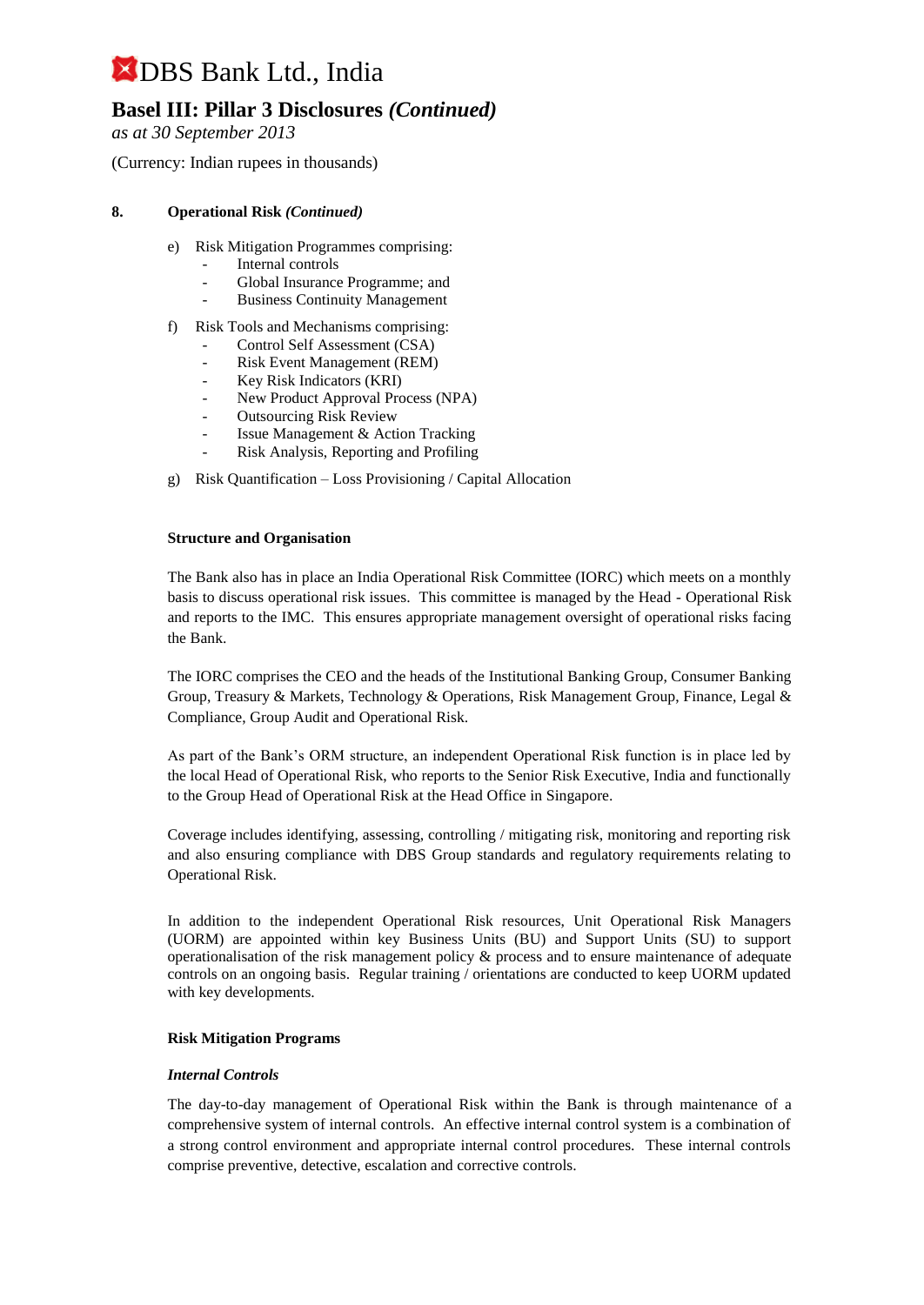### **Basel III: Pillar 3 Disclosures** *(Continued)*

*as at 30 September 2013*

(Currency: Indian rupees in thousands)

#### **8. Operational Risk** *(Continued)*

- e) Risk Mitigation Programmes comprising:
	- Internal controls
	- Global Insurance Programme; and
	- Business Continuity Management
- f) Risk Tools and Mechanisms comprising:
	- Control Self Assessment (CSA)
	- Risk Event Management (REM)
	- Key Risk Indicators (KRI)
	- New Product Approval Process (NPA)
	- **Outsourcing Risk Review**
	- Issue Management & Action Tracking
	- Risk Analysis, Reporting and Profiling
- g) Risk Quantification Loss Provisioning / Capital Allocation

#### **Structure and Organisation**

The Bank also has in place an India Operational Risk Committee (IORC) which meets on a monthly basis to discuss operational risk issues. This committee is managed by the Head - Operational Risk and reports to the IMC. This ensures appropriate management oversight of operational risks facing the Bank.

The IORC comprises the CEO and the heads of the Institutional Banking Group, Consumer Banking Group, Treasury & Markets, Technology & Operations, Risk Management Group, Finance, Legal & Compliance, Group Audit and Operational Risk.

As part of the Bank's ORM structure, an independent Operational Risk function is in place led by the local Head of Operational Risk, who reports to the Senior Risk Executive, India and functionally to the Group Head of Operational Risk at the Head Office in Singapore.

Coverage includes identifying, assessing, controlling / mitigating risk, monitoring and reporting risk and also ensuring compliance with DBS Group standards and regulatory requirements relating to Operational Risk.

In addition to the independent Operational Risk resources, Unit Operational Risk Managers (UORM) are appointed within key Business Units (BU) and Support Units (SU) to support operationalisation of the risk management policy  $\&$  process and to ensure maintenance of adequate controls on an ongoing basis. Regular training / orientations are conducted to keep UORM updated with key developments.

#### **Risk Mitigation Programs**

#### *Internal Controls*

The day-to-day management of Operational Risk within the Bank is through maintenance of a comprehensive system of internal controls. An effective internal control system is a combination of a strong control environment and appropriate internal control procedures. These internal controls comprise preventive, detective, escalation and corrective controls.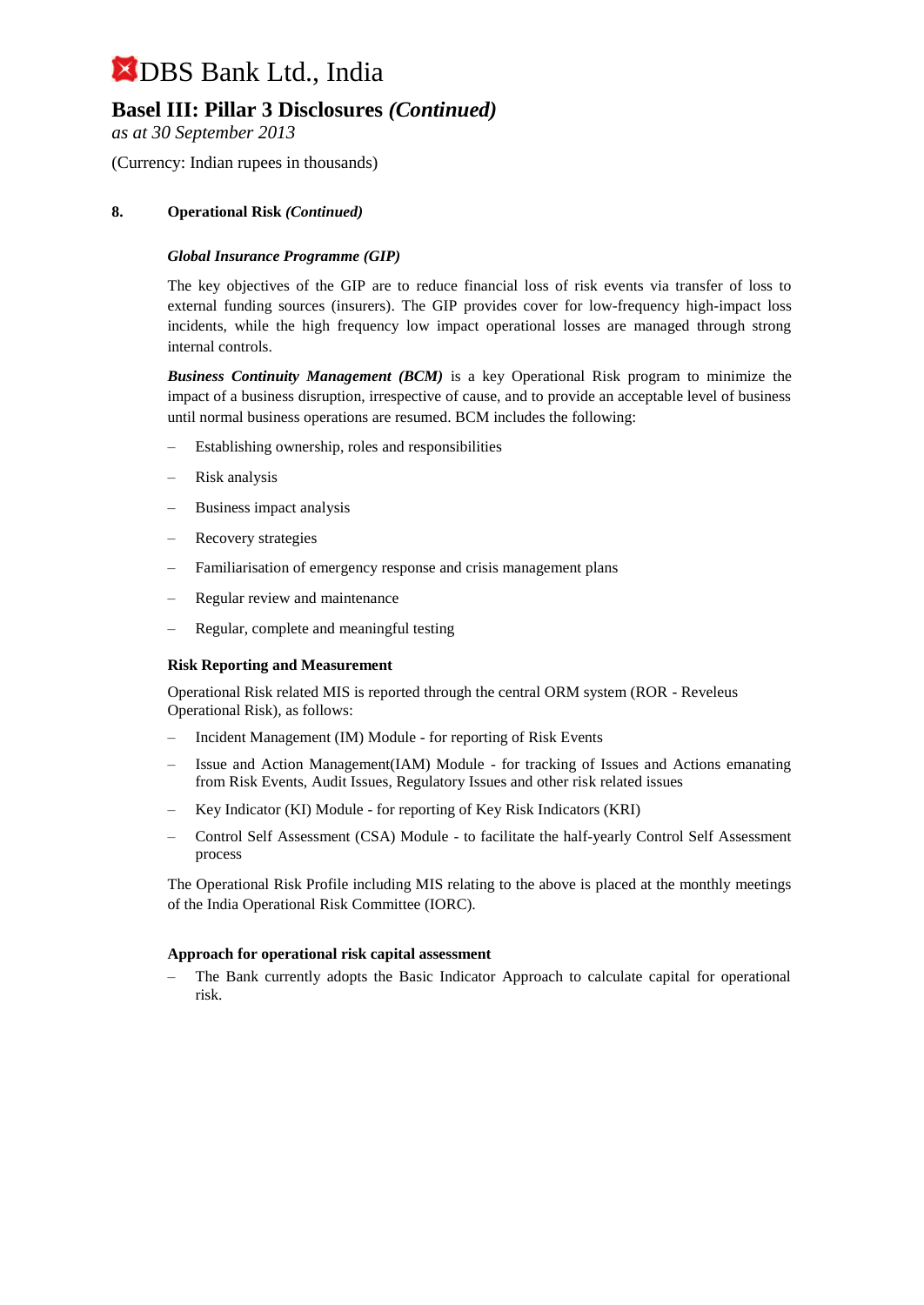### **Basel III: Pillar 3 Disclosures** *(Continued)*

*as at 30 September 2013*

(Currency: Indian rupees in thousands)

#### **8. Operational Risk** *(Continued)*

#### *Global Insurance Programme (GIP)*

The key objectives of the GIP are to reduce financial loss of risk events via transfer of loss to external funding sources (insurers). The GIP provides cover for low-frequency high-impact loss incidents, while the high frequency low impact operational losses are managed through strong internal controls.

*Business Continuity Management (BCM)* is a key Operational Risk program to minimize the impact of a business disruption, irrespective of cause, and to provide an acceptable level of business until normal business operations are resumed. BCM includes the following:

- Establishing ownership, roles and responsibilities
- Risk analysis
- Business impact analysis
- Recovery strategies
- Familiarisation of emergency response and crisis management plans
- Regular review and maintenance
- Regular, complete and meaningful testing

#### **Risk Reporting and Measurement**

Operational Risk related MIS is reported through the central ORM system (ROR - Reveleus Operational Risk), as follows:

- Incident Management (IM) Module for reporting of Risk Events
- Issue and Action Management(IAM) Module for tracking of Issues and Actions emanating from Risk Events, Audit Issues, Regulatory Issues and other risk related issues
- Key Indicator (KI) Module for reporting of Key Risk Indicators (KRI)
- Control Self Assessment (CSA) Module to facilitate the half-yearly Control Self Assessment process

The Operational Risk Profile including MIS relating to the above is placed at the monthly meetings of the India Operational Risk Committee (IORC).

#### **Approach for operational risk capital assessment**

– The Bank currently adopts the Basic Indicator Approach to calculate capital for operational risk.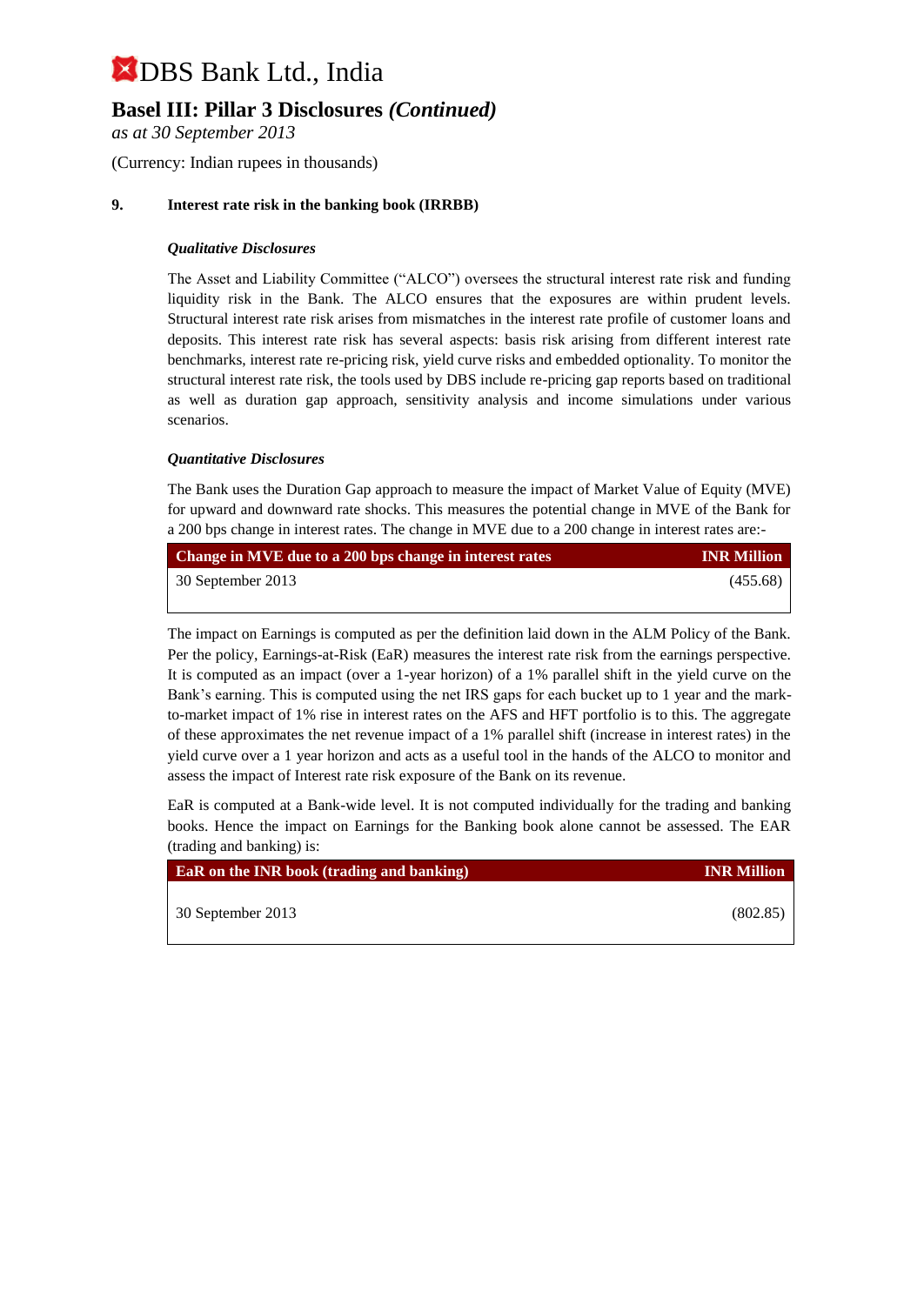### **Basel III: Pillar 3 Disclosures** *(Continued)*

*as at 30 September 2013*

(Currency: Indian rupees in thousands)

#### **9. Interest rate risk in the banking book (IRRBB)**

#### *Qualitative Disclosures*

The Asset and Liability Committee ("ALCO") oversees the structural interest rate risk and funding liquidity risk in the Bank. The ALCO ensures that the exposures are within prudent levels. Structural interest rate risk arises from mismatches in the interest rate profile of customer loans and deposits. This interest rate risk has several aspects: basis risk arising from different interest rate benchmarks, interest rate re-pricing risk, yield curve risks and embedded optionality. To monitor the structural interest rate risk, the tools used by DBS include re-pricing gap reports based on traditional as well as duration gap approach, sensitivity analysis and income simulations under various scenarios.

#### *Quantitative Disclosures*

The Bank uses the Duration Gap approach to measure the impact of Market Value of Equity (MVE) for upward and downward rate shocks. This measures the potential change in MVE of the Bank for a 200 bps change in interest rates. The change in MVE due to a 200 change in interest rates are:-

| Change in MVE due to a 200 bps change in interest rates | <b>INR Million</b> |
|---------------------------------------------------------|--------------------|
| 30 September 2013                                       | (455.68)           |
|                                                         |                    |

The impact on Earnings is computed as per the definition laid down in the ALM Policy of the Bank. Per the policy, Earnings-at-Risk (EaR) measures the interest rate risk from the earnings perspective. It is computed as an impact (over a 1-year horizon) of a 1% parallel shift in the yield curve on the Bank's earning. This is computed using the net IRS gaps for each bucket up to 1 year and the markto-market impact of 1% rise in interest rates on the AFS and HFT portfolio is to this. The aggregate of these approximates the net revenue impact of a 1% parallel shift (increase in interest rates) in the yield curve over a 1 year horizon and acts as a useful tool in the hands of the ALCO to monitor and assess the impact of Interest rate risk exposure of the Bank on its revenue.

EaR is computed at a Bank-wide level. It is not computed individually for the trading and banking books. Hence the impact on Earnings for the Banking book alone cannot be assessed. The EAR (trading and banking) is:

| <b>EaR</b> on the INR book <i>(trading and banking)</i> | <b>INR Million</b> |
|---------------------------------------------------------|--------------------|
| 30 September 2013                                       | (802.85)           |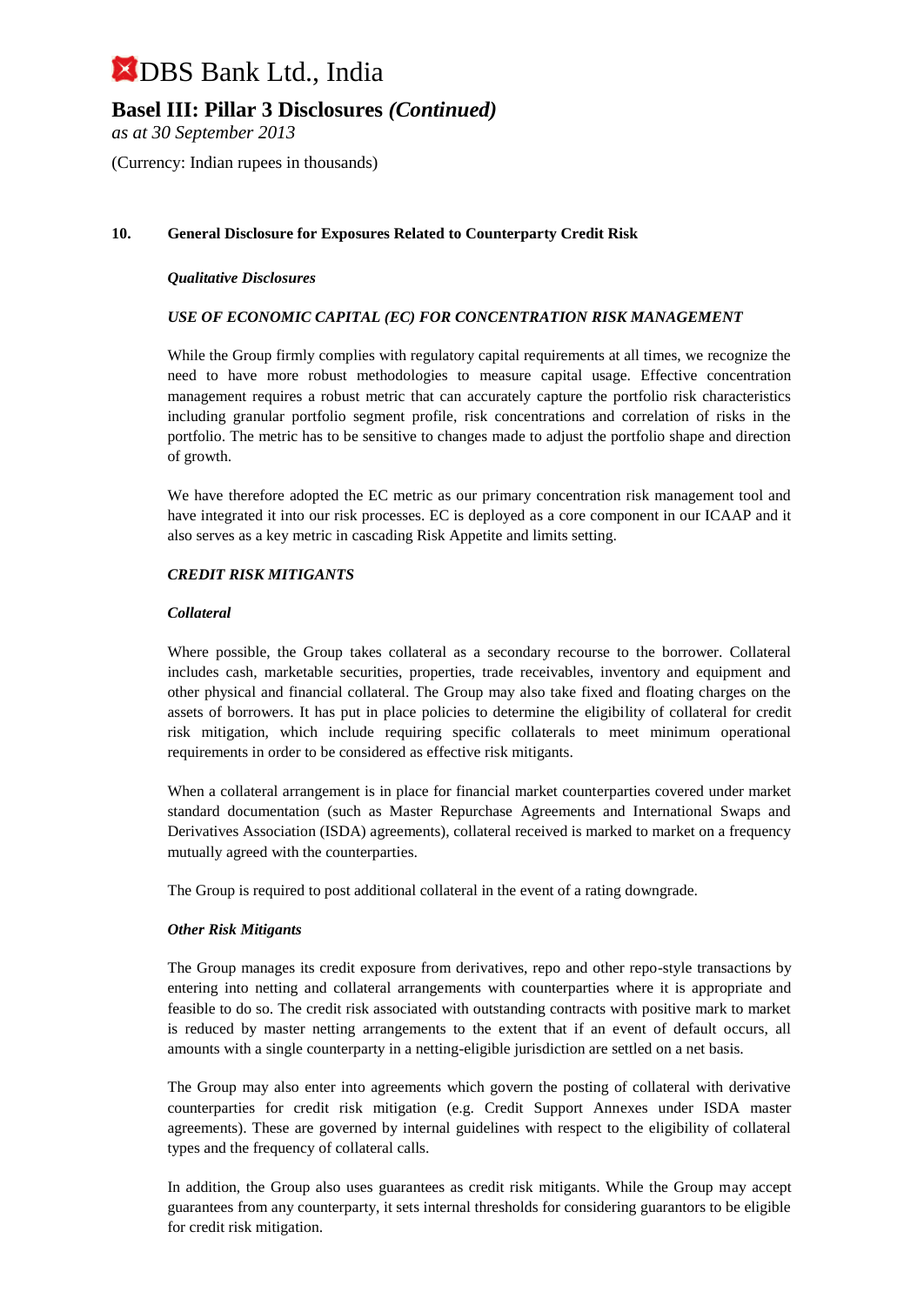### **Basel III: Pillar 3 Disclosures** *(Continued)*

*as at 30 September 2013*

(Currency: Indian rupees in thousands)

#### **10. General Disclosure for Exposures Related to Counterparty Credit Risk**

#### *Qualitative Disclosures*

#### *USE OF ECONOMIC CAPITAL (EC) FOR CONCENTRATION RISK MANAGEMENT*

While the Group firmly complies with regulatory capital requirements at all times, we recognize the need to have more robust methodologies to measure capital usage. Effective concentration management requires a robust metric that can accurately capture the portfolio risk characteristics including granular portfolio segment profile, risk concentrations and correlation of risks in the portfolio. The metric has to be sensitive to changes made to adjust the portfolio shape and direction of growth.

We have therefore adopted the EC metric as our primary concentration risk management tool and have integrated it into our risk processes. EC is deployed as a core component in our ICAAP and it also serves as a key metric in cascading Risk Appetite and limits setting.

#### *CREDIT RISK MITIGANTS*

#### *Collateral*

Where possible, the Group takes collateral as a secondary recourse to the borrower. Collateral includes cash, marketable securities, properties, trade receivables, inventory and equipment and other physical and financial collateral. The Group may also take fixed and floating charges on the assets of borrowers. It has put in place policies to determine the eligibility of collateral for credit risk mitigation, which include requiring specific collaterals to meet minimum operational requirements in order to be considered as effective risk mitigants.

When a collateral arrangement is in place for financial market counterparties covered under market standard documentation (such as Master Repurchase Agreements and International Swaps and Derivatives Association (ISDA) agreements), collateral received is marked to market on a frequency mutually agreed with the counterparties.

The Group is required to post additional collateral in the event of a rating downgrade.

#### *Other Risk Mitigants*

The Group manages its credit exposure from derivatives, repo and other repo-style transactions by entering into netting and collateral arrangements with counterparties where it is appropriate and feasible to do so. The credit risk associated with outstanding contracts with positive mark to market is reduced by master netting arrangements to the extent that if an event of default occurs, all amounts with a single counterparty in a netting-eligible jurisdiction are settled on a net basis.

The Group may also enter into agreements which govern the posting of collateral with derivative counterparties for credit risk mitigation (e.g. Credit Support Annexes under ISDA master agreements). These are governed by internal guidelines with respect to the eligibility of collateral types and the frequency of collateral calls.

In addition, the Group also uses guarantees as credit risk mitigants. While the Group may accept guarantees from any counterparty, it sets internal thresholds for considering guarantors to be eligible for credit risk mitigation.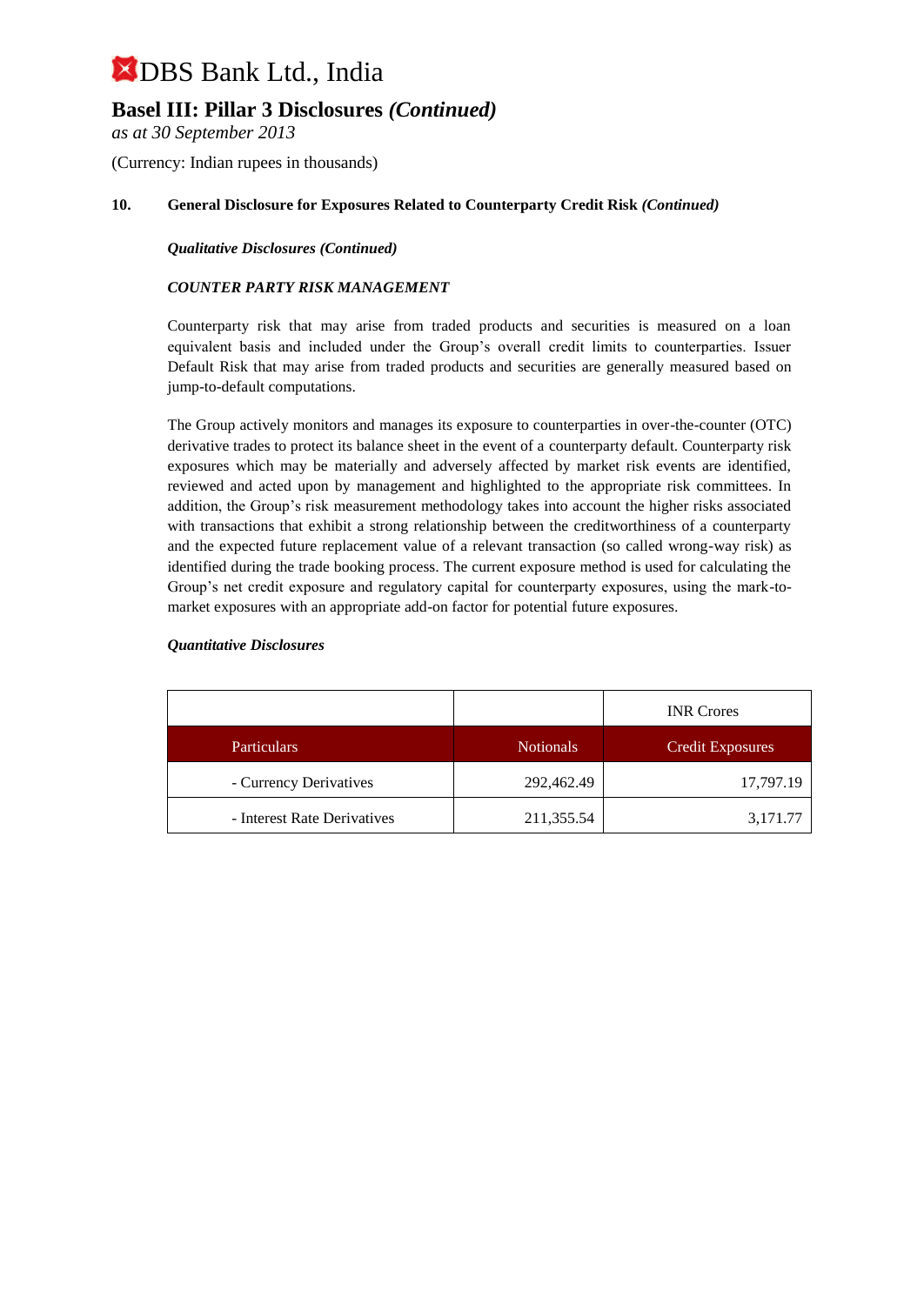### **Basel III: Pillar 3 Disclosures** *(Continued)*

*as at 30 September 2013*

(Currency: Indian rupees in thousands)

#### **10. General Disclosure for Exposures Related to Counterparty Credit Risk** *(Continued)*

*Qualitative Disclosures (Continued)*

#### *COUNTER PARTY RISK MANAGEMENT*

Counterparty risk that may arise from traded products and securities is measured on a loan equivalent basis and included under the Group's overall credit limits to counterparties. Issuer Default Risk that may arise from traded products and securities are generally measured based on jump-to-default computations.

The Group actively monitors and manages its exposure to counterparties in over-the-counter (OTC) derivative trades to protect its balance sheet in the event of a counterparty default. Counterparty risk exposures which may be materially and adversely affected by market risk events are identified, reviewed and acted upon by management and highlighted to the appropriate risk committees. In addition, the Group's risk measurement methodology takes into account the higher risks associated with transactions that exhibit a strong relationship between the creditworthiness of a counterparty and the expected future replacement value of a relevant transaction (so called wrong-way risk) as identified during the trade booking process. The current exposure method is used for calculating the Group's net credit exposure and regulatory capital for counterparty exposures, using the mark-tomarket exposures with an appropriate add-on factor for potential future exposures.

#### *Quantitative Disclosures*

|                             |                  | <b>INR</b> Crores       |
|-----------------------------|------------------|-------------------------|
| <b>Particulars</b>          | <b>Notionals</b> | <b>Credit Exposures</b> |
| - Currency Derivatives      | 292,462.49       | 17,797.19               |
| - Interest Rate Derivatives | 211,355.54       | 3,171.77                |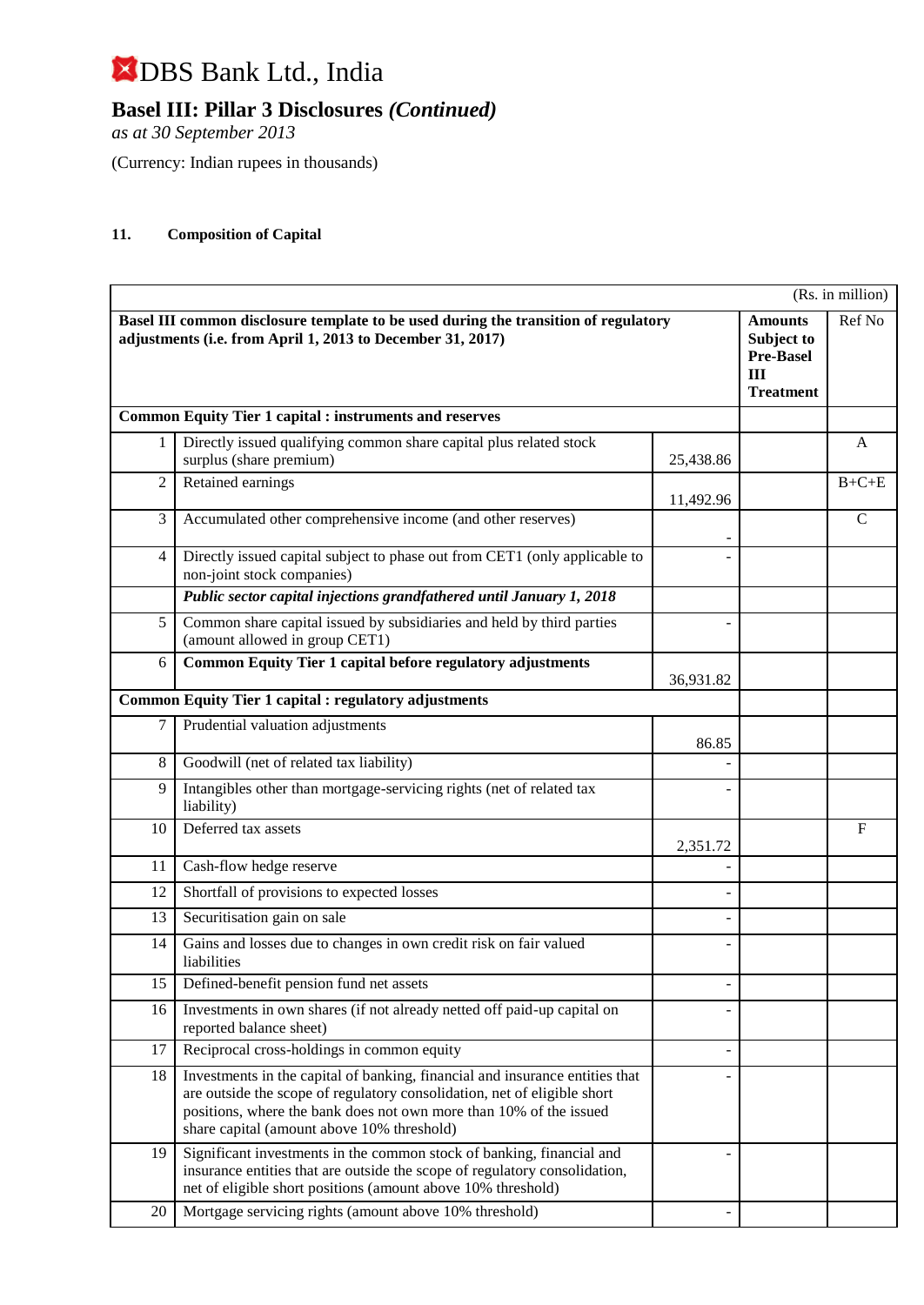**Basel III: Pillar 3 Disclosures** *(Continued)*

*as at 30 September 2013*

(Currency: Indian rupees in thousands)

#### **11. Composition of Capital**

|                |                                                                                                                                                                                                                                                                              |           |                                                                             | (Rs. in million) |
|----------------|------------------------------------------------------------------------------------------------------------------------------------------------------------------------------------------------------------------------------------------------------------------------------|-----------|-----------------------------------------------------------------------------|------------------|
|                | Basel III common disclosure template to be used during the transition of regulatory<br>adjustments (i.e. from April 1, 2013 to December 31, 2017)                                                                                                                            |           | <b>Amounts</b><br>Subject to<br><b>Pre-Basel</b><br>III<br><b>Treatment</b> | Ref No           |
|                | <b>Common Equity Tier 1 capital : instruments and reserves</b>                                                                                                                                                                                                               |           |                                                                             |                  |
|                | Directly issued qualifying common share capital plus related stock<br>surplus (share premium)                                                                                                                                                                                | 25,438.86 |                                                                             | A                |
| $\overline{c}$ | Retained earnings                                                                                                                                                                                                                                                            | 11,492.96 |                                                                             | $B+C+E$          |
| 3              | Accumulated other comprehensive income (and other reserves)                                                                                                                                                                                                                  |           |                                                                             | $\mathcal{C}$    |
| $\overline{4}$ | Directly issued capital subject to phase out from CET1 (only applicable to<br>non-joint stock companies)                                                                                                                                                                     |           |                                                                             |                  |
|                | Public sector capital injections grandfathered until January 1, 2018                                                                                                                                                                                                         |           |                                                                             |                  |
| 5              | Common share capital issued by subsidiaries and held by third parties<br>(amount allowed in group CET1)                                                                                                                                                                      |           |                                                                             |                  |
| 6              | Common Equity Tier 1 capital before regulatory adjustments                                                                                                                                                                                                                   | 36,931.82 |                                                                             |                  |
|                | <b>Common Equity Tier 1 capital : regulatory adjustments</b>                                                                                                                                                                                                                 |           |                                                                             |                  |
| 7              | Prudential valuation adjustments                                                                                                                                                                                                                                             | 86.85     |                                                                             |                  |
| $8\,$          | Goodwill (net of related tax liability)                                                                                                                                                                                                                                      |           |                                                                             |                  |
| 9              | Intangibles other than mortgage-servicing rights (net of related tax<br>liability)                                                                                                                                                                                           |           |                                                                             |                  |
| 10             | Deferred tax assets                                                                                                                                                                                                                                                          | 2,351.72  |                                                                             | $\mathbf{F}$     |
| 11             | Cash-flow hedge reserve                                                                                                                                                                                                                                                      |           |                                                                             |                  |
| 12             | Shortfall of provisions to expected losses                                                                                                                                                                                                                                   |           |                                                                             |                  |
| 13             | Securitisation gain on sale                                                                                                                                                                                                                                                  |           |                                                                             |                  |
| 14             | Gains and losses due to changes in own credit risk on fair valued<br>liabilities                                                                                                                                                                                             |           |                                                                             |                  |
| 15             | Defined-benefit pension fund net assets                                                                                                                                                                                                                                      |           |                                                                             |                  |
| 16             | Investments in own shares (if not already netted off paid-up capital on<br>reported balance sheet)                                                                                                                                                                           |           |                                                                             |                  |
| 17             | Reciprocal cross-holdings in common equity                                                                                                                                                                                                                                   |           |                                                                             |                  |
| 18             | Investments in the capital of banking, financial and insurance entities that<br>are outside the scope of regulatory consolidation, net of eligible short<br>positions, where the bank does not own more than 10% of the issued<br>share capital (amount above 10% threshold) |           |                                                                             |                  |
| 19             | Significant investments in the common stock of banking, financial and<br>insurance entities that are outside the scope of regulatory consolidation,<br>net of eligible short positions (amount above 10% threshold)                                                          |           |                                                                             |                  |
| 20             | Mortgage servicing rights (amount above 10% threshold)                                                                                                                                                                                                                       |           |                                                                             |                  |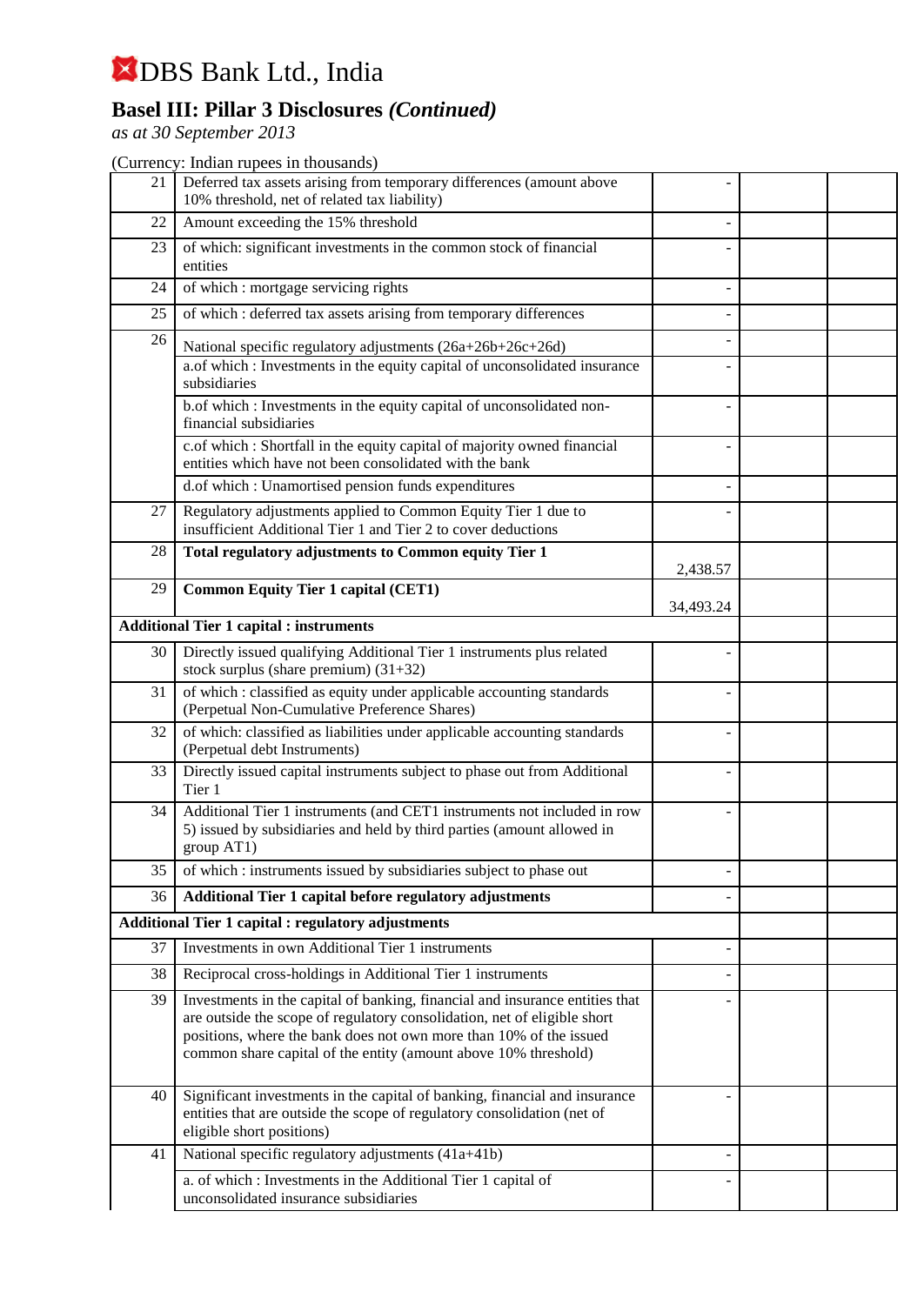## **Basel III: Pillar 3 Disclosures** *(Continued)*

*as at 30 September 2013*

| 21 | Deferred tax assets arising from temporary differences (amount above<br>10% threshold, net of related tax liability)                                                                                                                                                                              |           |  |
|----|---------------------------------------------------------------------------------------------------------------------------------------------------------------------------------------------------------------------------------------------------------------------------------------------------|-----------|--|
| 22 | Amount exceeding the 15% threshold                                                                                                                                                                                                                                                                |           |  |
| 23 | of which: significant investments in the common stock of financial<br>entities                                                                                                                                                                                                                    |           |  |
| 24 | of which : mortgage servicing rights                                                                                                                                                                                                                                                              |           |  |
| 25 | of which : deferred tax assets arising from temporary differences                                                                                                                                                                                                                                 |           |  |
| 26 | National specific regulatory adjustments (26a+26b+26c+26d)                                                                                                                                                                                                                                        |           |  |
|    | a.of which : Investments in the equity capital of unconsolidated insurance<br>subsidiaries                                                                                                                                                                                                        |           |  |
|    | b.of which : Investments in the equity capital of unconsolidated non-<br>financial subsidiaries                                                                                                                                                                                                   |           |  |
|    | c.of which : Shortfall in the equity capital of majority owned financial<br>entities which have not been consolidated with the bank                                                                                                                                                               |           |  |
|    | d.of which : Unamortised pension funds expenditures                                                                                                                                                                                                                                               |           |  |
| 27 | Regulatory adjustments applied to Common Equity Tier 1 due to<br>insufficient Additional Tier 1 and Tier 2 to cover deductions                                                                                                                                                                    |           |  |
| 28 | Total regulatory adjustments to Common equity Tier 1                                                                                                                                                                                                                                              | 2,438.57  |  |
| 29 | <b>Common Equity Tier 1 capital (CET1)</b>                                                                                                                                                                                                                                                        |           |  |
|    |                                                                                                                                                                                                                                                                                                   | 34,493.24 |  |
|    | <b>Additional Tier 1 capital : instruments</b>                                                                                                                                                                                                                                                    |           |  |
| 30 | Directly issued qualifying Additional Tier 1 instruments plus related<br>stock surplus (share premium) $(31+32)$                                                                                                                                                                                  |           |  |
| 31 | of which : classified as equity under applicable accounting standards<br>(Perpetual Non-Cumulative Preference Shares)                                                                                                                                                                             |           |  |
| 32 | of which: classified as liabilities under applicable accounting standards<br>(Perpetual debt Instruments)                                                                                                                                                                                         |           |  |
| 33 | Directly issued capital instruments subject to phase out from Additional<br>Tier 1                                                                                                                                                                                                                |           |  |
| 34 | Additional Tier 1 instruments (and CET1 instruments not included in row<br>5) issued by subsidiaries and held by third parties (amount allowed in<br>group AT1)                                                                                                                                   |           |  |
| 35 | of which : instruments issued by subsidiaries subject to phase out                                                                                                                                                                                                                                |           |  |
| 36 | Additional Tier 1 capital before regulatory adjustments                                                                                                                                                                                                                                           |           |  |
|    | <b>Additional Tier 1 capital : regulatory adjustments</b>                                                                                                                                                                                                                                         |           |  |
| 37 | Investments in own Additional Tier 1 instruments                                                                                                                                                                                                                                                  |           |  |
| 38 | Reciprocal cross-holdings in Additional Tier 1 instruments                                                                                                                                                                                                                                        |           |  |
| 39 | Investments in the capital of banking, financial and insurance entities that<br>are outside the scope of regulatory consolidation, net of eligible short<br>positions, where the bank does not own more than 10% of the issued<br>common share capital of the entity (amount above 10% threshold) |           |  |
| 40 | Significant investments in the capital of banking, financial and insurance<br>entities that are outside the scope of regulatory consolidation (net of<br>eligible short positions)                                                                                                                |           |  |
| 41 | National specific regulatory adjustments (41a+41b)                                                                                                                                                                                                                                                |           |  |
|    | a. of which : Investments in the Additional Tier 1 capital of<br>unconsolidated insurance subsidiaries                                                                                                                                                                                            |           |  |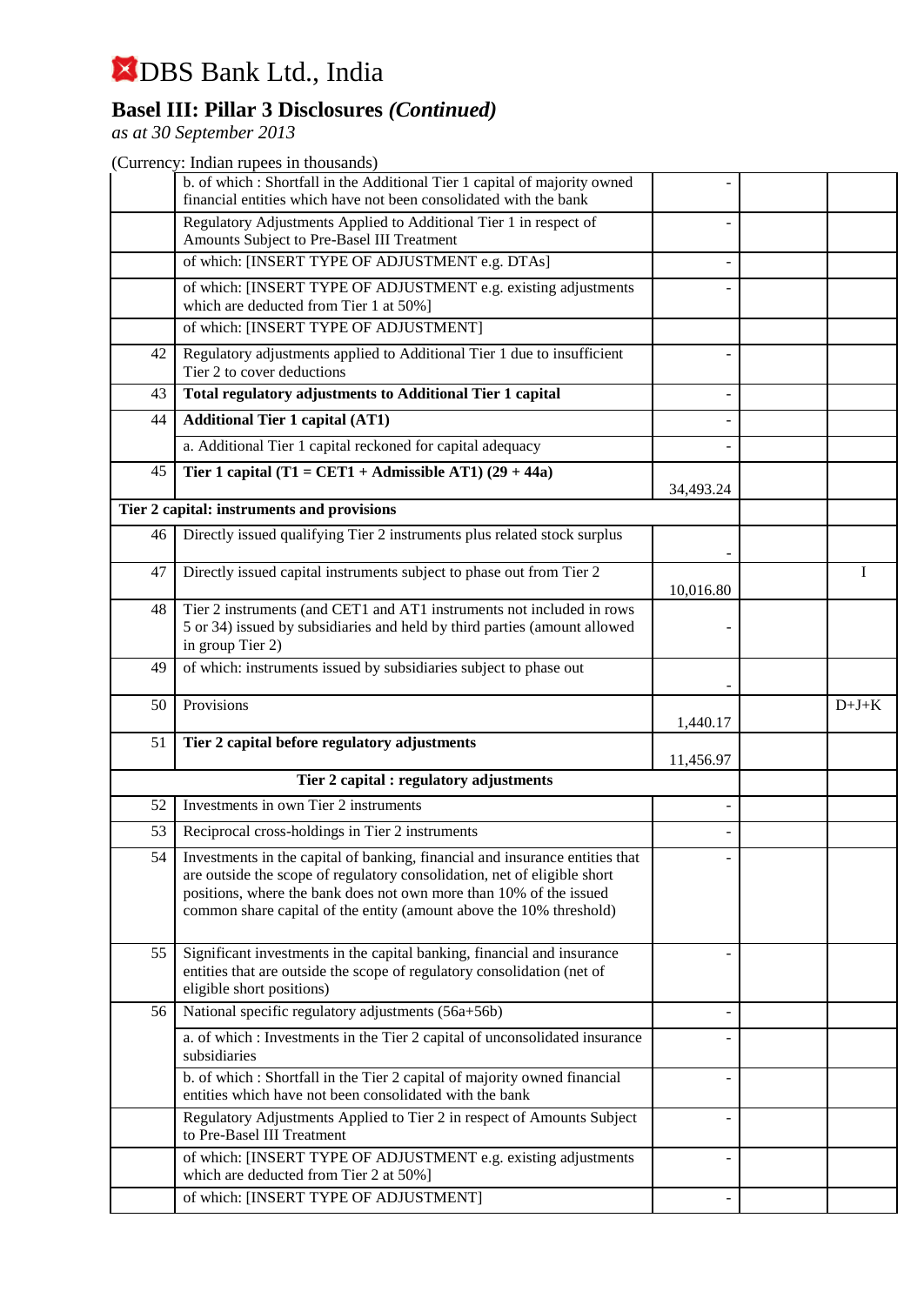## **Basel III: Pillar 3 Disclosures** *(Continued)*

*as at 30 September 2013*

|    | b. of which : Shortfall in the Additional Tier 1 capital of majority owned<br>financial entities which have not been consolidated with the bank                                                                                                                                                       |           |         |
|----|-------------------------------------------------------------------------------------------------------------------------------------------------------------------------------------------------------------------------------------------------------------------------------------------------------|-----------|---------|
|    | Regulatory Adjustments Applied to Additional Tier 1 in respect of<br>Amounts Subject to Pre-Basel III Treatment                                                                                                                                                                                       |           |         |
|    | of which: [INSERT TYPE OF ADJUSTMENT e.g. DTAs]                                                                                                                                                                                                                                                       |           |         |
|    | of which: [INSERT TYPE OF ADJUSTMENT e.g. existing adjustments<br>which are deducted from Tier 1 at 50%]                                                                                                                                                                                              |           |         |
|    | of which: [INSERT TYPE OF ADJUSTMENT]                                                                                                                                                                                                                                                                 |           |         |
| 42 | Regulatory adjustments applied to Additional Tier 1 due to insufficient<br>Tier 2 to cover deductions                                                                                                                                                                                                 |           |         |
| 43 | <b>Total regulatory adjustments to Additional Tier 1 capital</b>                                                                                                                                                                                                                                      |           |         |
| 44 | <b>Additional Tier 1 capital (AT1)</b>                                                                                                                                                                                                                                                                |           |         |
|    | a. Additional Tier 1 capital reckoned for capital adequacy                                                                                                                                                                                                                                            |           |         |
| 45 | Tier 1 capital (T1 = CET1 + Admissible AT1) $(29 + 44a)$                                                                                                                                                                                                                                              |           |         |
|    | Tier 2 capital: instruments and provisions                                                                                                                                                                                                                                                            | 34,493.24 |         |
| 46 | Directly issued qualifying Tier 2 instruments plus related stock surplus                                                                                                                                                                                                                              |           |         |
|    |                                                                                                                                                                                                                                                                                                       |           |         |
| 47 | Directly issued capital instruments subject to phase out from Tier 2                                                                                                                                                                                                                                  | 10,016.80 | I       |
| 48 | Tier 2 instruments (and CET1 and AT1 instruments not included in rows<br>5 or 34) issued by subsidiaries and held by third parties (amount allowed<br>in group Tier 2)                                                                                                                                |           |         |
| 49 | of which: instruments issued by subsidiaries subject to phase out                                                                                                                                                                                                                                     |           |         |
|    |                                                                                                                                                                                                                                                                                                       |           |         |
| 50 | Provisions                                                                                                                                                                                                                                                                                            | 1,440.17  | $D+J+K$ |
| 51 | Tier 2 capital before regulatory adjustments                                                                                                                                                                                                                                                          |           |         |
|    |                                                                                                                                                                                                                                                                                                       | 11,456.97 |         |
| 52 | Tier 2 capital : regulatory adjustments<br>Investments in own Tier 2 instruments                                                                                                                                                                                                                      |           |         |
| 53 | Reciprocal cross-holdings in Tier 2 instruments                                                                                                                                                                                                                                                       |           |         |
| 54 | Investments in the capital of banking, financial and insurance entities that<br>are outside the scope of regulatory consolidation, net of eligible short<br>positions, where the bank does not own more than 10% of the issued<br>common share capital of the entity (amount above the 10% threshold) |           |         |
| 55 | Significant investments in the capital banking, financial and insurance<br>entities that are outside the scope of regulatory consolidation (net of<br>eligible short positions)                                                                                                                       |           |         |
| 56 | National specific regulatory adjustments (56a+56b)                                                                                                                                                                                                                                                    |           |         |
|    | a. of which : Investments in the Tier 2 capital of unconsolidated insurance<br>subsidiaries                                                                                                                                                                                                           |           |         |
|    | b. of which : Shortfall in the Tier 2 capital of majority owned financial<br>entities which have not been consolidated with the bank                                                                                                                                                                  |           |         |
|    | Regulatory Adjustments Applied to Tier 2 in respect of Amounts Subject<br>to Pre-Basel III Treatment                                                                                                                                                                                                  |           |         |
|    | of which: [INSERT TYPE OF ADJUSTMENT e.g. existing adjustments<br>which are deducted from Tier 2 at 50%]                                                                                                                                                                                              |           |         |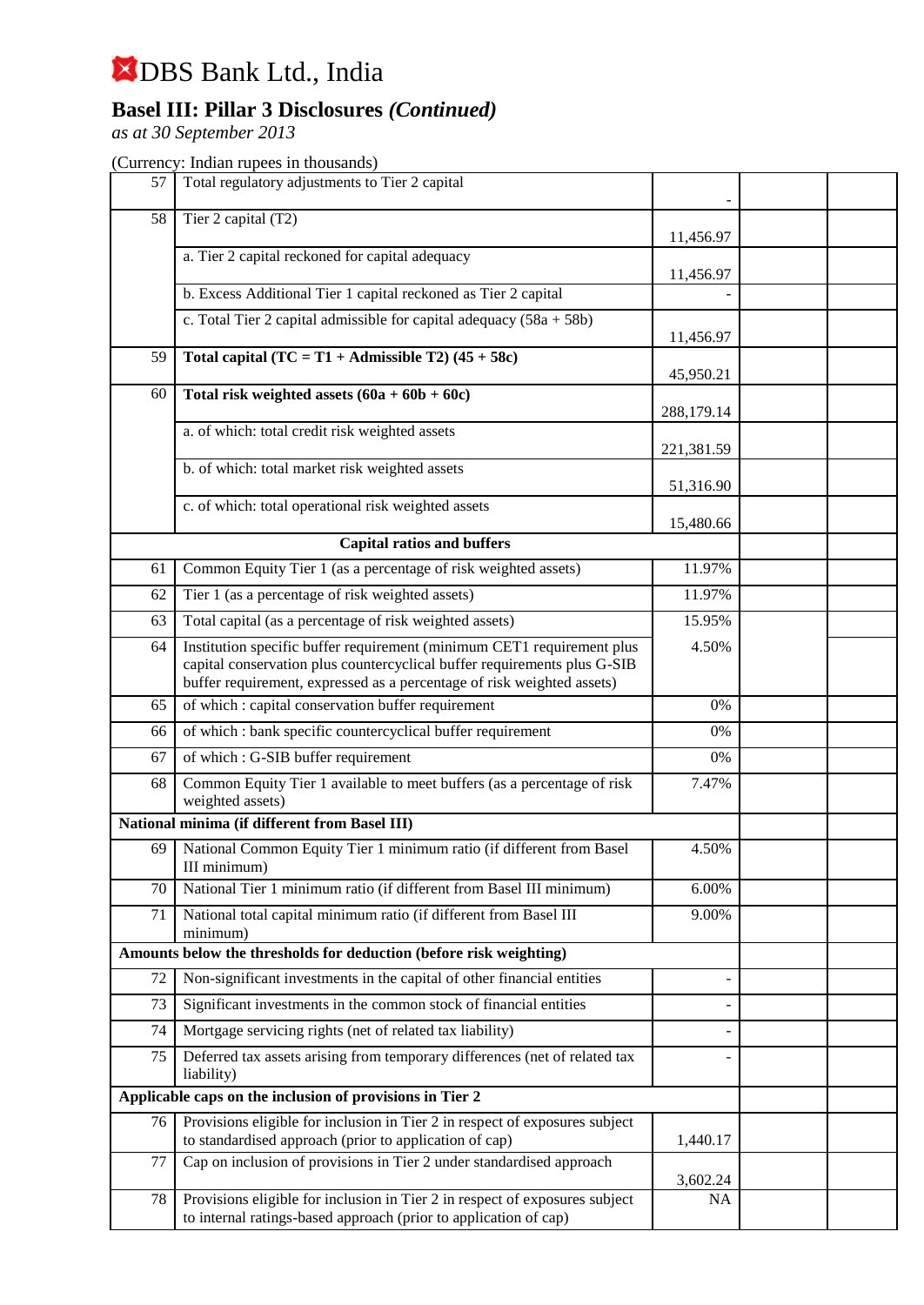## **Basel III: Pillar 3 Disclosures** *(Continued)*

*as at 30 September 2013*

| 57 | Total regulatory adjustments to Tier 2 capital                                                                                                                                                                               |            |  |
|----|------------------------------------------------------------------------------------------------------------------------------------------------------------------------------------------------------------------------------|------------|--|
| 58 | Tier 2 capital (T2)                                                                                                                                                                                                          | 11,456.97  |  |
|    | a. Tier 2 capital reckoned for capital adequacy                                                                                                                                                                              |            |  |
|    | b. Excess Additional Tier 1 capital reckoned as Tier 2 capital                                                                                                                                                               | 11,456.97  |  |
|    | c. Total Tier 2 capital admissible for capital adequacy $(58a + 58b)$                                                                                                                                                        |            |  |
|    |                                                                                                                                                                                                                              | 11,456.97  |  |
| 59 | Total capital $(TC = T1 + \text{Admissible } T2)$ (45 + 58c)                                                                                                                                                                 | 45,950.21  |  |
| 60 | Total risk weighted assets $(60a + 60b + 60c)$                                                                                                                                                                               | 288,179.14 |  |
|    | a. of which: total credit risk weighted assets                                                                                                                                                                               | 221,381.59 |  |
|    | b. of which: total market risk weighted assets                                                                                                                                                                               |            |  |
|    |                                                                                                                                                                                                                              | 51,316.90  |  |
|    | c. of which: total operational risk weighted assets                                                                                                                                                                          | 15,480.66  |  |
|    | <b>Capital ratios and buffers</b>                                                                                                                                                                                            |            |  |
| 61 | Common Equity Tier 1 (as a percentage of risk weighted assets)                                                                                                                                                               | 11.97%     |  |
| 62 | Tier 1 (as a percentage of risk weighted assets)                                                                                                                                                                             | 11.97%     |  |
| 63 | Total capital (as a percentage of risk weighted assets)                                                                                                                                                                      | 15.95%     |  |
| 64 | Institution specific buffer requirement (minimum CET1 requirement plus<br>capital conservation plus countercyclical buffer requirements plus G-SIB<br>buffer requirement, expressed as a percentage of risk weighted assets) | 4.50%      |  |
| 65 | of which : capital conservation buffer requirement                                                                                                                                                                           | 0%         |  |
| 66 | of which : bank specific countercyclical buffer requirement                                                                                                                                                                  | 0%         |  |
| 67 | of which: G-SIB buffer requirement                                                                                                                                                                                           | 0%         |  |
| 68 | Common Equity Tier 1 available to meet buffers (as a percentage of risk<br>weighted assets)                                                                                                                                  | 7.47%      |  |
|    | National minima (if different from Basel III)                                                                                                                                                                                |            |  |
| 69 | National Common Equity Tier 1 minimum ratio (if different from Basel<br>III minimum)                                                                                                                                         | 4.50%      |  |
| 70 | National Tier 1 minimum ratio (if different from Basel III minimum)                                                                                                                                                          | 6.00%      |  |
| 71 | National total capital minimum ratio (if different from Basel III                                                                                                                                                            | 9.00%      |  |
|    | minimum)<br>Amounts below the thresholds for deduction (before risk weighting)                                                                                                                                               |            |  |
|    |                                                                                                                                                                                                                              |            |  |
| 72 | Non-significant investments in the capital of other financial entities                                                                                                                                                       |            |  |
| 73 | Significant investments in the common stock of financial entities                                                                                                                                                            |            |  |
| 74 | Mortgage servicing rights (net of related tax liability)                                                                                                                                                                     |            |  |
| 75 | Deferred tax assets arising from temporary differences (net of related tax<br>liability)                                                                                                                                     |            |  |
|    | Applicable caps on the inclusion of provisions in Tier 2                                                                                                                                                                     |            |  |
| 76 | Provisions eligible for inclusion in Tier 2 in respect of exposures subject<br>to standardised approach (prior to application of cap)                                                                                        | 1,440.17   |  |
| 77 | Cap on inclusion of provisions in Tier 2 under standardised approach                                                                                                                                                         | 3,602.24   |  |
| 78 | Provisions eligible for inclusion in Tier 2 in respect of exposures subject<br>to internal ratings-based approach (prior to application of cap)                                                                              | NA         |  |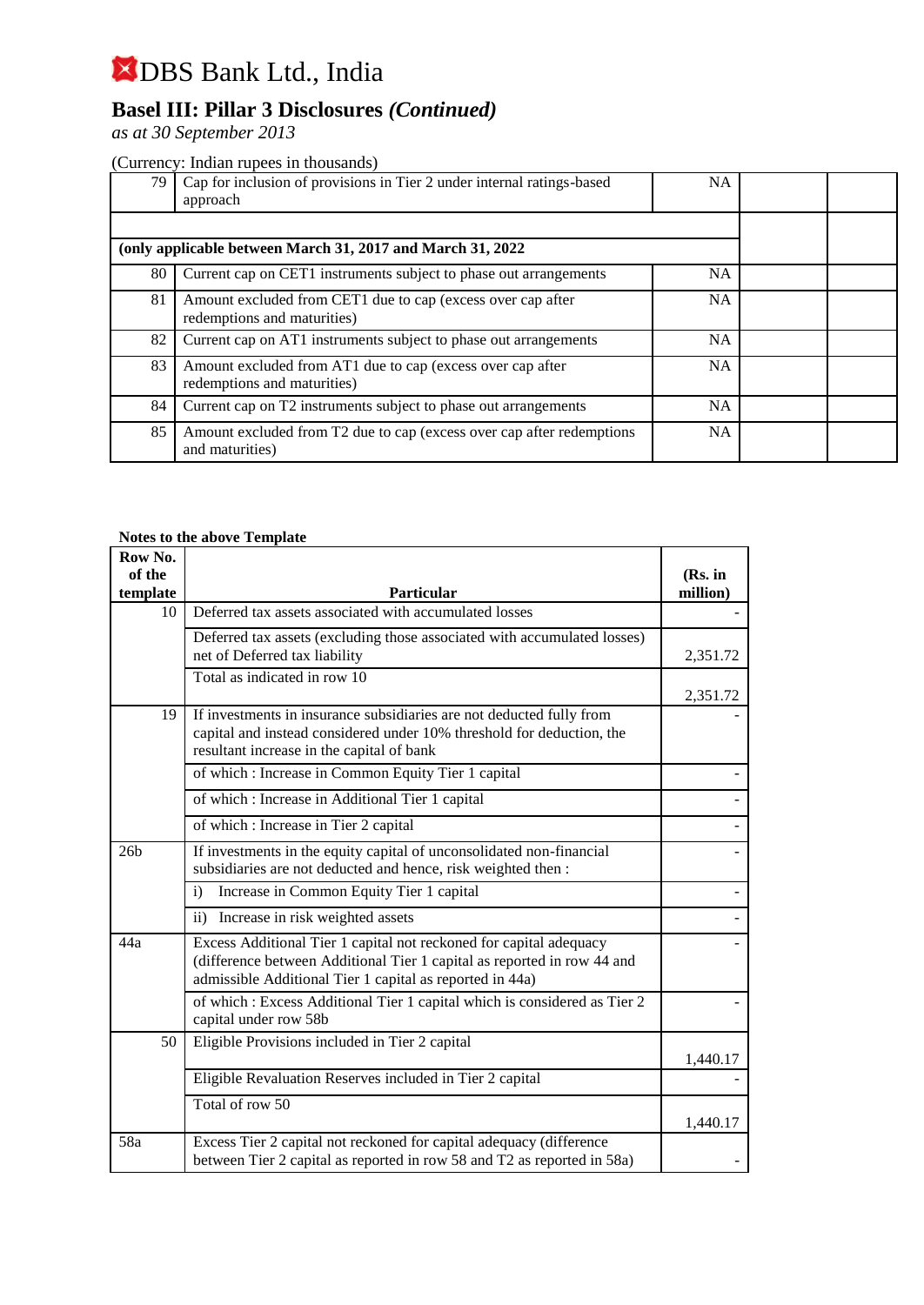## **Basel III: Pillar 3 Disclosures** *(Continued)*

*as at 30 September 2013*

#### (Currency: Indian rupees in thousands)

| 79 | Cap for inclusion of provisions in Tier 2 under internal ratings-based<br>approach         | <b>NA</b> |  |
|----|--------------------------------------------------------------------------------------------|-----------|--|
|    | (only applicable between March 31, 2017 and March 31, 2022)                                |           |  |
| 80 | Current cap on CET1 instruments subject to phase out arrangements                          | <b>NA</b> |  |
| 81 | Amount excluded from CET1 due to cap (excess over cap after<br>redemptions and maturities) | <b>NA</b> |  |
| 82 | Current cap on AT1 instruments subject to phase out arrangements                           | <b>NA</b> |  |
| 83 | Amount excluded from AT1 due to cap (excess over cap after<br>redemptions and maturities)  | <b>NA</b> |  |
| 84 | Current cap on T2 instruments subject to phase out arrangements                            | <b>NA</b> |  |
| 85 | Amount excluded from T2 due to cap (excess over cap after redemptions<br>and maturities)   | <b>NA</b> |  |

#### **Notes to the above Template**

| Row No.            |                                                                                                                                                                                                           |                     |
|--------------------|-----------------------------------------------------------------------------------------------------------------------------------------------------------------------------------------------------------|---------------------|
| of the<br>template | <b>Particular</b>                                                                                                                                                                                         | (Rs. in<br>million) |
| 10                 | Deferred tax assets associated with accumulated losses                                                                                                                                                    |                     |
|                    | Deferred tax assets (excluding those associated with accumulated losses)<br>net of Deferred tax liability                                                                                                 | 2,351.72            |
|                    | Total as indicated in row 10                                                                                                                                                                              | 2,351.72            |
| 19                 | If investments in insurance subsidiaries are not deducted fully from<br>capital and instead considered under 10% threshold for deduction, the<br>resultant increase in the capital of bank                |                     |
|                    | of which : Increase in Common Equity Tier 1 capital                                                                                                                                                       |                     |
|                    | of which: Increase in Additional Tier 1 capital                                                                                                                                                           |                     |
|                    | of which : Increase in Tier 2 capital                                                                                                                                                                     |                     |
| 26 <sub>b</sub>    | If investments in the equity capital of unconsolidated non-financial<br>subsidiaries are not deducted and hence, risk weighted then :                                                                     |                     |
|                    | Increase in Common Equity Tier 1 capital<br>$\mathbf{i}$                                                                                                                                                  |                     |
|                    | $\mathbf{ii}$<br>Increase in risk weighted assets                                                                                                                                                         |                     |
| 44a                | Excess Additional Tier 1 capital not reckoned for capital adequacy<br>(difference between Additional Tier 1 capital as reported in row 44 and<br>admissible Additional Tier 1 capital as reported in 44a) |                     |
|                    | of which : Excess Additional Tier 1 capital which is considered as Tier 2<br>capital under row 58b                                                                                                        |                     |
| 50                 | Eligible Provisions included in Tier 2 capital                                                                                                                                                            | 1,440.17            |
|                    | Eligible Revaluation Reserves included in Tier 2 capital                                                                                                                                                  |                     |
|                    | Total of row 50                                                                                                                                                                                           | 1,440.17            |
| 58a                | Excess Tier 2 capital not reckoned for capital adequacy (difference<br>between Tier 2 capital as reported in row 58 and T2 as reported in 58a)                                                            |                     |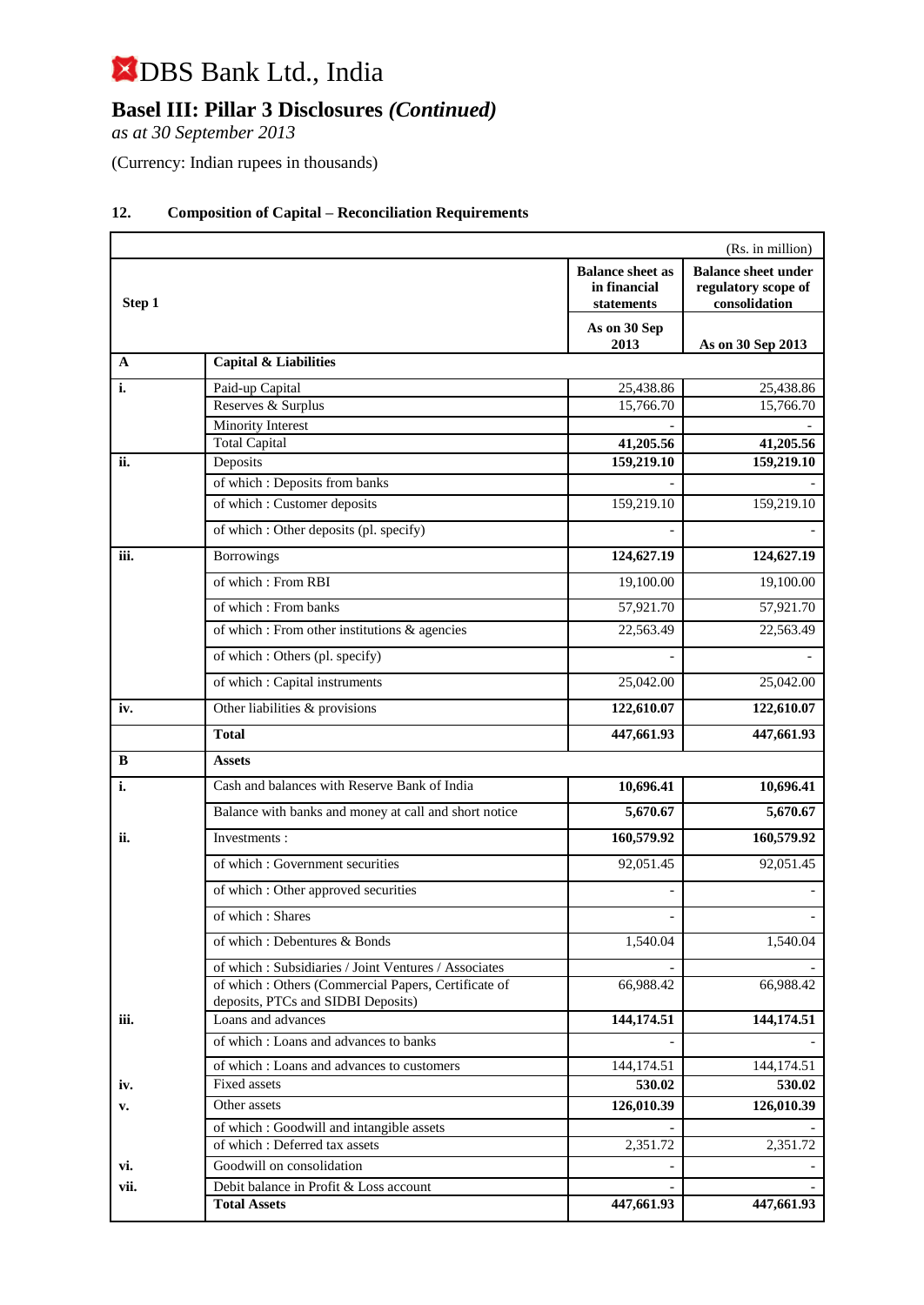## **Basel III: Pillar 3 Disclosures** *(Continued)*

*as at 30 September 2013*

(Currency: Indian rupees in thousands)

| (Rs. in million) |                                                                                            |                                                       |                                                                    |  |  |
|------------------|--------------------------------------------------------------------------------------------|-------------------------------------------------------|--------------------------------------------------------------------|--|--|
| Step 1           |                                                                                            | <b>Balance sheet as</b><br>in financial<br>statements | <b>Balance sheet under</b><br>regulatory scope of<br>consolidation |  |  |
|                  |                                                                                            | As on 30 Sep<br>2013                                  | As on 30 Sep 2013                                                  |  |  |
| A                | <b>Capital &amp; Liabilities</b>                                                           |                                                       |                                                                    |  |  |
| i.               | Paid-up Capital                                                                            | 25,438.86                                             | 25,438.86                                                          |  |  |
|                  | Reserves & Surplus                                                                         | 15,766.70                                             | 15,766.70                                                          |  |  |
|                  | <b>Minority Interest</b>                                                                   |                                                       |                                                                    |  |  |
|                  | <b>Total Capital</b>                                                                       | 41,205.56                                             | 41,205.56                                                          |  |  |
| ii.              | Deposits                                                                                   | 159,219.10                                            | 159,219.10                                                         |  |  |
|                  | of which: Deposits from banks                                                              |                                                       |                                                                    |  |  |
|                  | of which: Customer deposits                                                                | 159,219.10                                            | 159,219.10                                                         |  |  |
|                  | of which : Other deposits (pl. specify)                                                    |                                                       |                                                                    |  |  |
| iii.             | <b>Borrowings</b>                                                                          | 124,627.19                                            | 124,627.19                                                         |  |  |
|                  | of which: From RBI                                                                         | 19,100.00                                             | 19,100.00                                                          |  |  |
|                  | of which: From banks                                                                       | 57,921.70                                             | 57,921.70                                                          |  |  |
|                  | of which : From other institutions & agencies                                              | 22,563.49                                             | 22,563.49                                                          |  |  |
|                  | of which : Others (pl. specify)                                                            |                                                       |                                                                    |  |  |
|                  | of which: Capital instruments                                                              | 25,042.00                                             | 25,042.00                                                          |  |  |
| iv.              | Other liabilities & provisions                                                             | 122,610.07                                            | 122,610.07                                                         |  |  |
|                  | <b>Total</b>                                                                               | 447,661.93                                            | 447,661.93                                                         |  |  |
| в                | <b>Assets</b>                                                                              |                                                       |                                                                    |  |  |
| i.               | Cash and balances with Reserve Bank of India                                               | 10,696.41                                             | 10,696.41                                                          |  |  |
|                  | Balance with banks and money at call and short notice                                      | 5,670.67                                              | 5,670.67                                                           |  |  |
| ii.              | Investments:                                                                               | 160,579.92                                            | 160,579.92                                                         |  |  |
|                  | of which: Government securities                                                            | 92,051.45                                             | 92,051.45                                                          |  |  |
|                  | of which : Other approved securities                                                       |                                                       |                                                                    |  |  |
|                  | of which: Shares                                                                           |                                                       |                                                                    |  |  |
|                  | of which: Debentures & Bonds                                                               | 1,540.04                                              | 1,540.04                                                           |  |  |
|                  | of which: Subsidiaries / Joint Ventures / Associates                                       |                                                       |                                                                    |  |  |
|                  | of which : Others (Commercial Papers, Certificate of<br>deposits, PTCs and SIDBI Deposits) | 66,988.42                                             | 66,988.42                                                          |  |  |
| iii.             | Loans and advances                                                                         | 144,174.51                                            | 144,174.51                                                         |  |  |
|                  | of which: Loans and advances to banks                                                      |                                                       |                                                                    |  |  |
|                  | of which: Loans and advances to customers                                                  | 144,174.51                                            | 144,174.51                                                         |  |  |
| iv.              | Fixed assets                                                                               | 530.02                                                | 530.02                                                             |  |  |
| v.               | Other assets                                                                               | 126,010.39                                            | 126,010.39                                                         |  |  |
|                  | of which: Goodwill and intangible assets                                                   |                                                       |                                                                    |  |  |
|                  | of which: Deferred tax assets                                                              | 2,351.72                                              | 2,351.72                                                           |  |  |
| vi.              | Goodwill on consolidation                                                                  |                                                       |                                                                    |  |  |
| vii.             | Debit balance in Profit & Loss account                                                     |                                                       |                                                                    |  |  |
|                  | <b>Total Assets</b>                                                                        | 447,661.93                                            | 447,661.93                                                         |  |  |

### **12. Composition of Capital – Reconciliation Requirements**